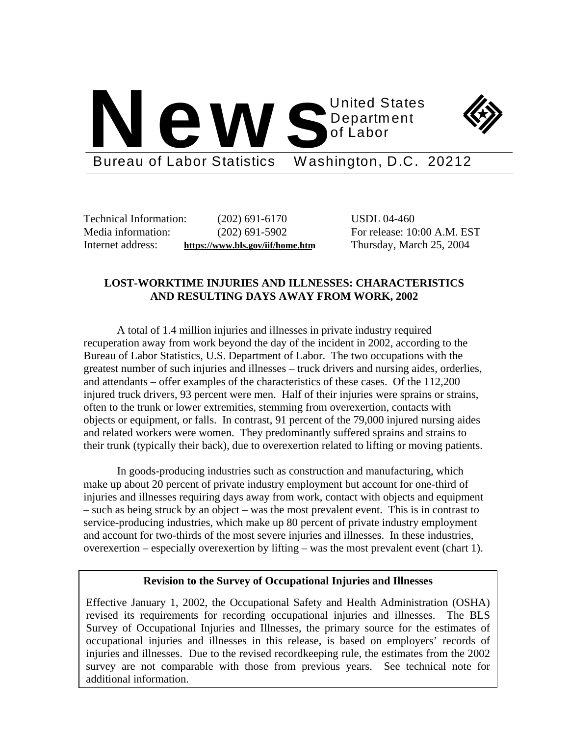



Bureau of Labor Statistics Washington, D.C. 20212

Technical Information: (202) 691-6170 USDL 04-460 Internet address: **https://www.bls.gov/iif/home.htm** Thursday, March 25, 2004

Media information: (202) 691-5902 For release: 10:00 A.M. EST

## **LOST-WORKTIME INJURIES AND ILLNESSES: CHARACTERISTICS AND RESULTING DAYS AWAY FROM WORK, 2002**

A total of 1.4 million injuries and illnesses in private industry required recuperation away from work beyond the day of the incident in 2002, according to the Bureau of Labor Statistics, U.S. Department of Labor. The two occupations with the greatest number of such injuries and illnesses – truck drivers and nursing aides, orderlies, and attendants – offer examples of the characteristics of these cases. Of the 112,200 injured truck drivers, 93 percent were men. Half of their injuries were sprains or strains, often to the trunk or lower extremities, stemming from overexertion, contacts with objects or equipment, or falls. In contrast, 91 percent of the 79,000 injured nursing aides and related workers were women. They predominantly suffered sprains and strains to their trunk (typically their back), due to overexertion related to lifting or moving patients.

In goods-producing industries such as construction and manufacturing, which make up about 20 percent of private industry employment but account for one-third of injuries and illnesses requiring days away from work, contact with objects and equipment – such as being struck by an object – was the most prevalent event. This is in contrast to service-producing industries, which make up 80 percent of private industry employment and account for two-thirds of the most severe injuries and illnesses. In these industries, overexertion – especially overexertion by lifting – was the most prevalent event (chart 1).

### **Revision to the Survey of Occupational Injuries and Illnesses**

Effective January 1, 2002, the Occupational Safety and Health Administration (OSHA) revised its requirements for recording occupational injuries and illnesses. The BLS Survey of Occupational Injuries and Illnesses, the primary source for the estimates of occupational injuries and illnesses in this release, is based on employers' records of injuries and illnesses. Due to the revised recordkeeping rule, the estimates from the 2002 survey are not comparable with those from previous years. See technical note for additional information.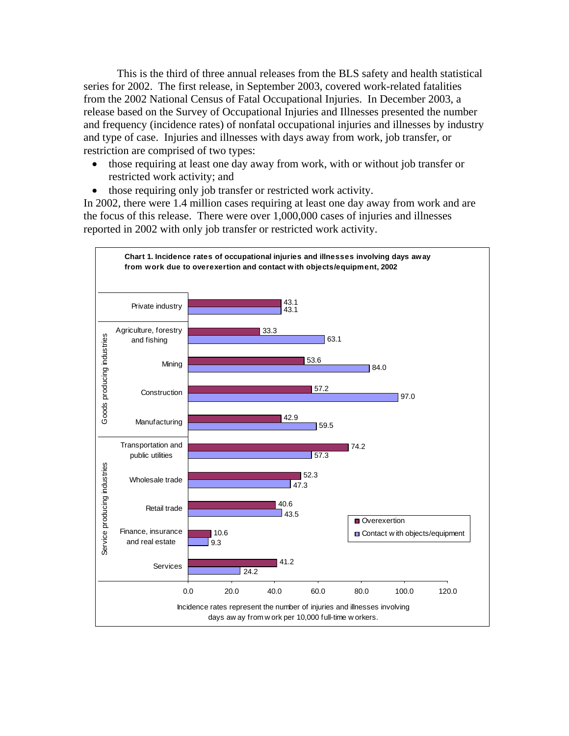This is the third of three annual releases from the BLS safety and health statistical series for 2002. The first release, in September 2003, covered work-related fatalities from the 2002 National Census of Fatal Occupational Injuries. In December 2003, a release based on the Survey of Occupational Injuries and Illnesses presented the number and frequency (incidence rates) of nonfatal occupational injuries and illnesses by industry and type of case. Injuries and illnesses with days away from work, job transfer, or restriction are comprised of two types:

- those requiring at least one day away from work, with or without job transfer or restricted work activity; and
- those requiring only job transfer or restricted work activity.

In 2002, there were 1.4 million cases requiring at least one day away from work and are the focus of this release. There were over 1,000,000 cases of injuries and illnesses reported in 2002 with only job transfer or restricted work activity.

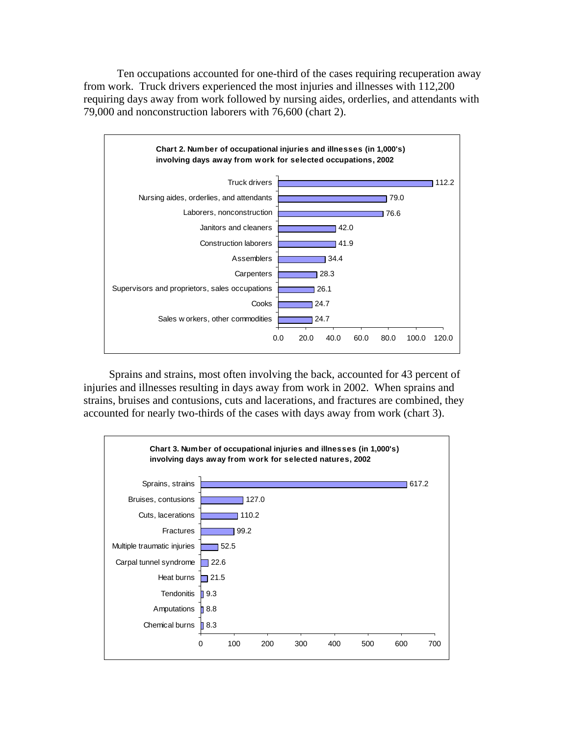Ten occupations accounted for one-third of the cases requiring recuperation away from work. Truck drivers experienced the most injuries and illnesses with 112,200 requiring days away from work followed by nursing aides, orderlies, and attendants with 79,000 and nonconstruction laborers with 76,600 (chart 2).



Sprains and strains, most often involving the back, accounted for 43 percent of injuries and illnesses resulting in days away from work in 2002. When sprains and strains, bruises and contusions, cuts and lacerations, and fractures are combined, they accounted for nearly two-thirds of the cases with days away from work (chart 3).

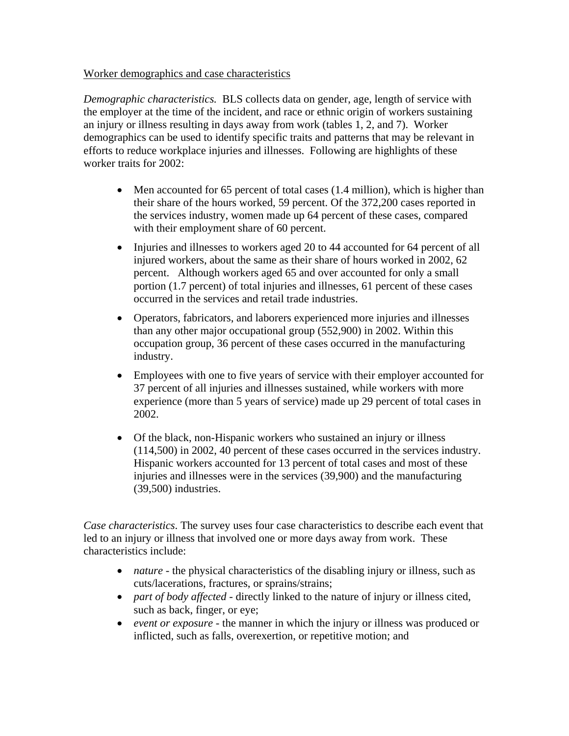## Worker demographics and case characteristics

*Demographic characteristics.* BLS collects data on gender, age, length of service with the employer at the time of the incident, and race or ethnic origin of workers sustaining an injury or illness resulting in days away from work (tables 1, 2, and 7). Worker demographics can be used to identify specific traits and patterns that may be relevant in efforts to reduce workplace injuries and illnesses. Following are highlights of these worker traits for 2002:

- Men accounted for 65 percent of total cases (1.4 million), which is higher than their share of the hours worked, 59 percent. Of the 372,200 cases reported in the services industry, women made up 64 percent of these cases, compared with their employment share of 60 percent.
- Injuries and illnesses to workers aged 20 to 44 accounted for 64 percent of all injured workers, about the same as their share of hours worked in 2002, 62 percent. Although workers aged 65 and over accounted for only a small portion (1.7 percent) of total injuries and illnesses, 61 percent of these cases occurred in the services and retail trade industries.
- Operators, fabricators, and laborers experienced more injuries and illnesses than any other major occupational group (552,900) in 2002. Within this occupation group, 36 percent of these cases occurred in the manufacturing industry.
- Employees with one to five years of service with their employer accounted for 37 percent of all injuries and illnesses sustained, while workers with more experience (more than 5 years of service) made up 29 percent of total cases in 2002.
- Of the black, non-Hispanic workers who sustained an injury or illness (114,500) in 2002, 40 percent of these cases occurred in the services industry. Hispanic workers accounted for 13 percent of total cases and most of these injuries and illnesses were in the services (39,900) and the manufacturing (39,500) industries.

*Case characteristics*. The survey uses four case characteristics to describe each event that led to an injury or illness that involved one or more days away from work. These characteristics include:

- *nature* the physical characteristics of the disabling injury or illness, such as cuts/lacerations, fractures, or sprains/strains;
- *part of body affected* directly linked to the nature of injury or illness cited, such as back, finger, or eye;
- *event or exposure* the manner in which the injury or illness was produced or inflicted, such as falls, overexertion, or repetitive motion; and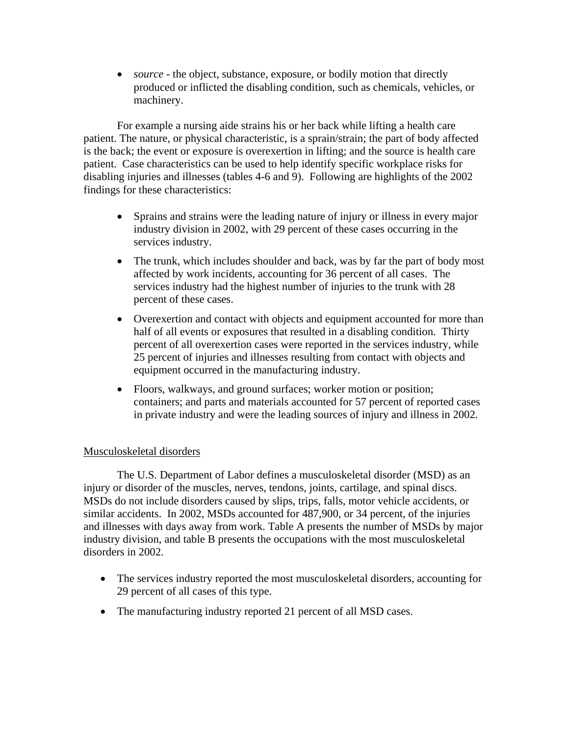• *source* - the object, substance, exposure, or bodily motion that directly produced or inflicted the disabling condition, such as chemicals, vehicles, or machinery.

For example a nursing aide strains his or her back while lifting a health care patient. The nature, or physical characteristic, is a sprain/strain; the part of body affected is the back; the event or exposure is overexertion in lifting; and the source is health care patient. Case characteristics can be used to help identify specific workplace risks for disabling injuries and illnesses (tables 4-6 and 9). Following are highlights of the 2002 findings for these characteristics:

- Sprains and strains were the leading nature of injury or illness in every major industry division in 2002, with 29 percent of these cases occurring in the services industry.
- The trunk, which includes shoulder and back, was by far the part of body most affected by work incidents, accounting for 36 percent of all cases. The services industry had the highest number of injuries to the trunk with 28 percent of these cases.
- Overexertion and contact with objects and equipment accounted for more than half of all events or exposures that resulted in a disabling condition. Thirty percent of all overexertion cases were reported in the services industry, while 25 percent of injuries and illnesses resulting from contact with objects and equipment occurred in the manufacturing industry.
- Floors, walkways, and ground surfaces; worker motion or position; containers; and parts and materials accounted for 57 percent of reported cases in private industry and were the leading sources of injury and illness in 2002.

# Musculoskeletal disorders

The U.S. Department of Labor defines a musculoskeletal disorder (MSD) as an injury or disorder of the muscles, nerves, tendons, joints, cartilage, and spinal discs. MSDs do not include disorders caused by slips, trips, falls, motor vehicle accidents, or similar accidents. In 2002, MSDs accounted for 487,900, or 34 percent, of the injuries and illnesses with days away from work. Table A presents the number of MSDs by major industry division, and table B presents the occupations with the most musculoskeletal disorders in 2002.

- The services industry reported the most musculoskeletal disorders, accounting for 29 percent of all cases of this type.
- The manufacturing industry reported 21 percent of all MSD cases.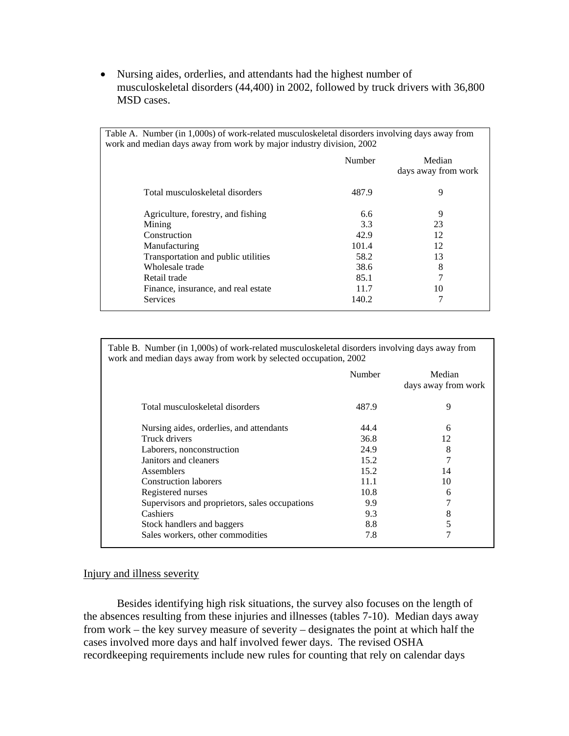• Nursing aides, orderlies, and attendants had the highest number of musculoskeletal disorders (44,400) in 2002, followed by truck drivers with 36,800 MSD cases.

| Table A. Number (in 1,000s) of work-related musculoskeletal disorders involving days away from |        |                               |  |  |  |  |  |  |
|------------------------------------------------------------------------------------------------|--------|-------------------------------|--|--|--|--|--|--|
| work and median days away from work by major industry division, 2002                           |        |                               |  |  |  |  |  |  |
|                                                                                                | Number | Median<br>days away from work |  |  |  |  |  |  |
| Total musculoskeletal disorders                                                                | 487.9  | 9                             |  |  |  |  |  |  |
| Agriculture, forestry, and fishing                                                             | 6.6    | 9                             |  |  |  |  |  |  |
| Mining                                                                                         | 3.3    | 23                            |  |  |  |  |  |  |
| Construction                                                                                   | 42.9   | 12                            |  |  |  |  |  |  |
| Manufacturing                                                                                  | 101.4  | 12                            |  |  |  |  |  |  |
| Transportation and public utilities                                                            | 58.2   | 13                            |  |  |  |  |  |  |
| Wholesale trade                                                                                | 38.6   | 8                             |  |  |  |  |  |  |
| Retail trade                                                                                   | 85.1   |                               |  |  |  |  |  |  |
| Finance, insurance, and real estate                                                            | 11.7   | 10                            |  |  |  |  |  |  |
| Services                                                                                       | 140.2  | 7                             |  |  |  |  |  |  |

Table B. Number (in 1,000s) of work-related musculoskeletal disorders involving days away from work and median days away from work by selected occupation, 2002

|                                                | Number | Median<br>days away from work |
|------------------------------------------------|--------|-------------------------------|
| Total musculoskeletal disorders                | 487.9  | 9                             |
| Nursing aides, orderlies, and attendants       | 44.4   | 6                             |
| Truck drivers                                  | 36.8   | 12                            |
| Laborers, nonconstruction                      | 24.9   | 8                             |
| Janitors and cleaners                          | 15.2   | 7                             |
| <b>Assemblers</b>                              | 15.2   | 14                            |
| <b>Construction laborers</b>                   | 11.1   | 10                            |
| Registered nurses                              | 10.8   | 6                             |
| Supervisors and proprietors, sales occupations | 9.9    | 7                             |
| Cashiers                                       | 9.3    | 8                             |
| Stock handlers and baggers                     | 8.8    | 5                             |
| Sales workers, other commodities               | 7.8    | 7                             |

#### Injury and illness severity

Besides identifying high risk situations, the survey also focuses on the length of the absences resulting from these injuries and illnesses (tables 7-10). Median days away from work – the key survey measure of severity – designates the point at which half the cases involved more days and half involved fewer days. The revised OSHA recordkeeping requirements include new rules for counting that rely on calendar days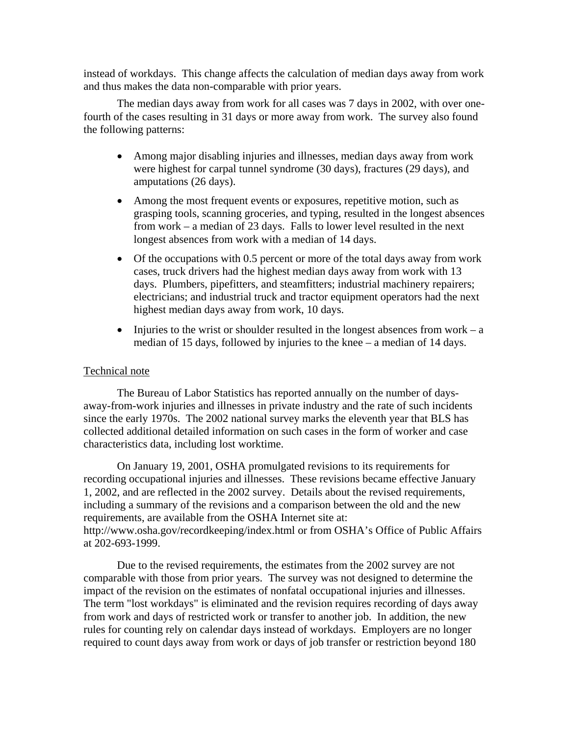instead of workdays. This change affects the calculation of median days away from work and thus makes the data non-comparable with prior years.

The median days away from work for all cases was 7 days in 2002, with over onefourth of the cases resulting in 31 days or more away from work. The survey also found the following patterns:

- Among major disabling injuries and illnesses, median days away from work were highest for carpal tunnel syndrome (30 days), fractures (29 days), and amputations (26 days).
- Among the most frequent events or exposures, repetitive motion, such as grasping tools, scanning groceries, and typing, resulted in the longest absences from work – a median of 23 days. Falls to lower level resulted in the next longest absences from work with a median of 14 days.
- Of the occupations with 0.5 percent or more of the total days away from work cases, truck drivers had the highest median days away from work with 13 days. Plumbers, pipefitters, and steamfitters; industrial machinery repairers; electricians; and industrial truck and tractor equipment operators had the next highest median days away from work, 10 days.
- Injuries to the wrist or shoulder resulted in the longest absences from work  $-a$ median of 15 days, followed by injuries to the knee – a median of 14 days.

#### Technical note

The Bureau of Labor Statistics has reported annually on the number of daysaway-from-work injuries and illnesses in private industry and the rate of such incidents since the early 1970s. The 2002 national survey marks the eleventh year that BLS has collected additional detailed information on such cases in the form of worker and case characteristics data, including lost worktime.

On January 19, 2001, OSHA promulgated revisions to its requirements for recording occupational injuries and illnesses. These revisions became effective January 1, 2002, and are reflected in the 2002 survey. Details about the revised requirements, including a summary of the revisions and a comparison between the old and the new requirements, are available from the OSHA Internet site at: http://www.osha.gov/recordkeeping/index.html or from OSHA's Office of Public Affairs at 202-693-1999.

Due to the revised requirements, the estimates from the 2002 survey are not comparable with those from prior years. The survey was not designed to determine the impact of the revision on the estimates of nonfatal occupational injuries and illnesses. The term "lost workdays" is eliminated and the revision requires recording of days away from work and days of restricted work or transfer to another job. In addition, the new rules for counting rely on calendar days instead of workdays. Employers are no longer required to count days away from work or days of job transfer or restriction beyond 180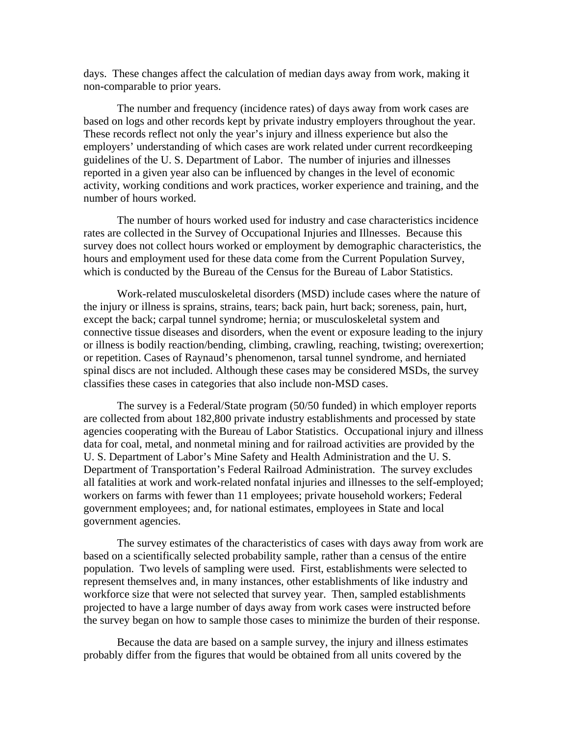days. These changes affect the calculation of median days away from work, making it non-comparable to prior years.

The number and frequency (incidence rates) of days away from work cases are based on logs and other records kept by private industry employers throughout the year. These records reflect not only the year's injury and illness experience but also the employers' understanding of which cases are work related under current recordkeeping guidelines of the U. S. Department of Labor. The number of injuries and illnesses reported in a given year also can be influenced by changes in the level of economic activity, working conditions and work practices, worker experience and training, and the number of hours worked.

The number of hours worked used for industry and case characteristics incidence rates are collected in the Survey of Occupational Injuries and Illnesses. Because this survey does not collect hours worked or employment by demographic characteristics, the hours and employment used for these data come from the Current Population Survey, which is conducted by the Bureau of the Census for the Bureau of Labor Statistics.

Work-related musculoskeletal disorders (MSD) include cases where the nature of the injury or illness is sprains, strains, tears; back pain, hurt back; soreness, pain, hurt, except the back; carpal tunnel syndrome; hernia; or musculoskeletal system and connective tissue diseases and disorders, when the event or exposure leading to the injury or illness is bodily reaction/bending, climbing, crawling, reaching, twisting; overexertion; or repetition. Cases of Raynaud's phenomenon, tarsal tunnel syndrome, and herniated spinal discs are not included. Although these cases may be considered MSDs, the survey classifies these cases in categories that also include non-MSD cases.

The survey is a Federal/State program (50/50 funded) in which employer reports are collected from about 182,800 private industry establishments and processed by state agencies cooperating with the Bureau of Labor Statistics. Occupational injury and illness data for coal, metal, and nonmetal mining and for railroad activities are provided by the U. S. Department of Labor's Mine Safety and Health Administration and the U. S. Department of Transportation's Federal Railroad Administration. The survey excludes all fatalities at work and work-related nonfatal injuries and illnesses to the self-employed; workers on farms with fewer than 11 employees; private household workers; Federal government employees; and, for national estimates, employees in State and local government agencies.

The survey estimates of the characteristics of cases with days away from work are based on a scientifically selected probability sample, rather than a census of the entire population. Two levels of sampling were used. First, establishments were selected to represent themselves and, in many instances, other establishments of like industry and workforce size that were not selected that survey year. Then, sampled establishments projected to have a large number of days away from work cases were instructed before the survey began on how to sample those cases to minimize the burden of their response.

Because the data are based on a sample survey, the injury and illness estimates probably differ from the figures that would be obtained from all units covered by the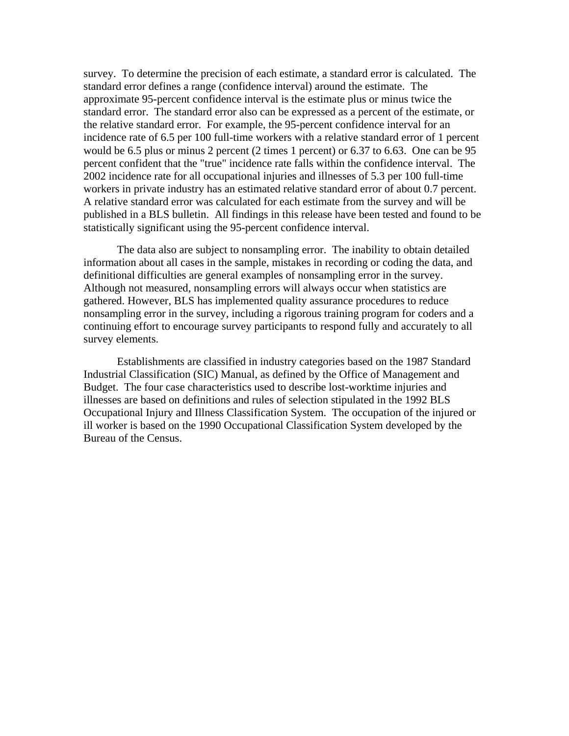survey. To determine the precision of each estimate, a standard error is calculated. The standard error defines a range (confidence interval) around the estimate. The approximate 95-percent confidence interval is the estimate plus or minus twice the standard error. The standard error also can be expressed as a percent of the estimate, or the relative standard error. For example, the 95-percent confidence interval for an incidence rate of 6.5 per 100 full-time workers with a relative standard error of 1 percent would be 6.5 plus or minus 2 percent (2 times 1 percent) or 6.37 to 6.63. One can be 95 percent confident that the "true" incidence rate falls within the confidence interval. The 2002 incidence rate for all occupational injuries and illnesses of 5.3 per 100 full-time workers in private industry has an estimated relative standard error of about 0.7 percent. A relative standard error was calculated for each estimate from the survey and will be published in a BLS bulletin. All findings in this release have been tested and found to be statistically significant using the 95-percent confidence interval.

The data also are subject to nonsampling error. The inability to obtain detailed information about all cases in the sample, mistakes in recording or coding the data, and definitional difficulties are general examples of nonsampling error in the survey. Although not measured, nonsampling errors will always occur when statistics are gathered. However, BLS has implemented quality assurance procedures to reduce nonsampling error in the survey, including a rigorous training program for coders and a continuing effort to encourage survey participants to respond fully and accurately to all survey elements.

Establishments are classified in industry categories based on the 1987 Standard Industrial Classification (SIC) Manual, as defined by the Office of Management and Budget. The four case characteristics used to describe lost-worktime injuries and illnesses are based on definitions and rules of selection stipulated in the 1992 BLS Occupational Injury and Illness Classification System. The occupation of the injured or ill worker is based on the 1990 Occupational Classification System developed by the Bureau of the Census.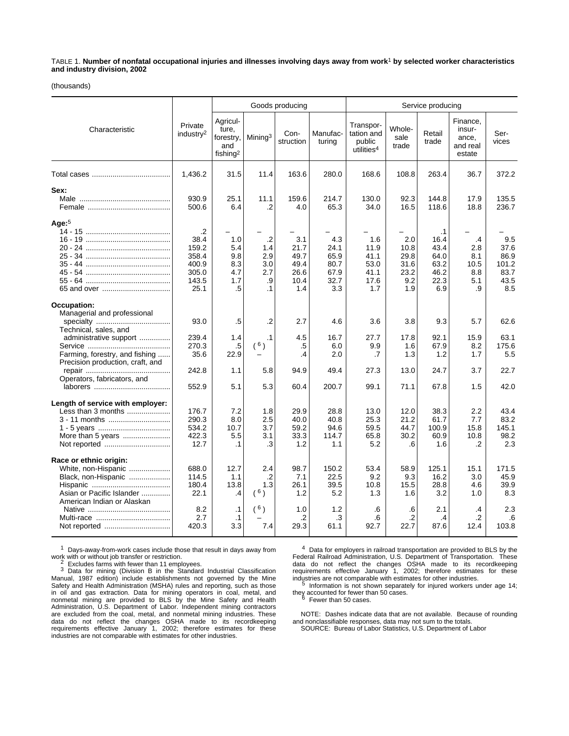TABLE 1. **Number of nonfatal occupational injuries and illnesses involving days away from work**1 **by selected worker characteristics and industry division, 2002**

(thousands)

|                                                                                                                                                                     |                                                                      |                                                               | Goods producing                                        |                                                    |                                                    |                                                             | Service producing                                 |                                                                  |                                                   |                                                     |  |
|---------------------------------------------------------------------------------------------------------------------------------------------------------------------|----------------------------------------------------------------------|---------------------------------------------------------------|--------------------------------------------------------|----------------------------------------------------|----------------------------------------------------|-------------------------------------------------------------|---------------------------------------------------|------------------------------------------------------------------|---------------------------------------------------|-----------------------------------------------------|--|
| Characteristic                                                                                                                                                      | Private<br>industry <sup>2</sup>                                     | Agricul-<br>ture,<br>forestry,<br>and<br>fishing <sup>2</sup> | Mining <sup>3</sup>                                    | Con-<br>struction                                  | Manufac-<br>turing                                 | Transpor-<br>tation and<br>public<br>utilities <sup>4</sup> | Whole-<br>sale<br>trade                           | Retail<br>trade                                                  | Finance,<br>insur-<br>ance,<br>and real<br>estate | Ser-<br>vices                                       |  |
|                                                                                                                                                                     | 1,436.2                                                              | 31.5                                                          | 11.4                                                   | 163.6                                              | 280.0                                              | 168.6                                                       | 108.8                                             | 263.4                                                            | 36.7                                              | 372.2                                               |  |
| Sex:                                                                                                                                                                | 930.9<br>500.6                                                       | 25.1<br>6.4                                                   | 11.1<br>$\cdot$                                        | 159.6<br>4.0                                       | 214.7<br>65.3                                      | 130.0<br>34.0                                               | 92.3<br>16.5                                      | 144.8<br>118.6                                                   | 17.9<br>18.8                                      | 135.5<br>236.7                                      |  |
| Age: $5$                                                                                                                                                            | $\cdot$<br>38.4<br>159.2<br>358.4<br>400.9<br>305.0<br>143.5<br>25.1 | 1.0<br>5.4<br>9.8<br>8.3<br>4.7<br>1.7<br>.5                  | $\cdot$<br>1.4<br>2.9<br>3.0<br>2.7<br>.9<br>$\cdot$ 1 | 3.1<br>21.7<br>49.7<br>49.4<br>26.6<br>10.4<br>1.4 | 4.3<br>24.1<br>65.9<br>80.7<br>67.9<br>32.7<br>3.3 | 1.6<br>11.9<br>41.1<br>53.0<br>41.1<br>17.6<br>1.7          | 2.0<br>10.8<br>29.8<br>31.6<br>23.2<br>9.2<br>1.9 | $\cdot$ 1<br>16.4<br>43.4<br>64.0<br>63.2<br>46.2<br>22.3<br>6.9 | $\cdot$<br>2.8<br>8.1<br>10.5<br>8.8<br>5.1<br>.9 | 9.5<br>37.6<br>86.9<br>101.2<br>83.7<br>43.5<br>8.5 |  |
| Occupation:<br>Managerial and professional<br>Technical, sales, and<br>administrative support<br>Farming, forestry, and fishing<br>Precision production, craft, and | 93.0<br>239.4<br>270.3<br>35.6<br>242.8                              | .5<br>1.4<br>.5<br>22.9<br>1.1                                | $\cdot$<br>$\cdot$ 1<br>$(^{6})$<br>5.8                | 2.7<br>4.5<br>.5<br>.4<br>94.9                     | 4.6<br>16.7<br>6.0<br>2.0<br>49.4                  | 3.6<br>27.7<br>9.9<br>.7<br>27.3                            | 3.8<br>17.8<br>1.6<br>1.3<br>13.0                 | 9.3<br>92.1<br>67.9<br>1.2<br>24.7                               | 5.7<br>15.9<br>8.2<br>1.7<br>3.7                  | 62.6<br>63.1<br>175.6<br>5.5<br>22.7                |  |
| Operators, fabricators, and                                                                                                                                         | 552.9                                                                | 5.1                                                           | 5.3                                                    | 60.4                                               | 200.7                                              | 99.1                                                        | 71.1                                              | 67.8                                                             | 1.5                                               | 42.0                                                |  |
| Length of service with employer:<br>Less than 3 months<br>3 - 11 months<br>More than 5 years<br>Not reported                                                        | 176.7<br>290.3<br>534.2<br>422.3<br>12.7                             | 7.2<br>8.0<br>10.7<br>5.5<br>.1                               | 1.8<br>2.5<br>3.7<br>3.1<br>.3                         | 29.9<br>40.0<br>59.2<br>33.3<br>1.2                | 28.8<br>40.8<br>94.6<br>114.7<br>1.1               | 13.0<br>25.3<br>59.5<br>65.8<br>5.2                         | 12.0<br>21.2<br>44.7<br>30.2<br>.6                | 38.3<br>61.7<br>100.9<br>60.9<br>1.6                             | 2.2<br>7.7<br>15.8<br>10.8<br>.2                  | 43.4<br>83.2<br>145.1<br>98.2<br>2.3                |  |
| Race or ethnic origin:<br>White, non-Hispanic<br>Black, non-Hispanic<br>Asian or Pacific Islander<br>American Indian or Alaskan                                     | 688.0<br>114.5<br>180.4<br>22.1<br>8.2                               | 12.7<br>1.1<br>13.8<br>$\cdot$<br>$\cdot$ 1                   | 2.4<br>$\cdot$<br>1.3<br>(6)<br>(6)                    | 98.7<br>7.1<br>26.1<br>1.2<br>1.0                  | 150.2<br>22.5<br>39.5<br>5.2<br>1.2                | 53.4<br>9.2<br>10.8<br>1.3<br>.6                            | 58.9<br>9.3<br>15.5<br>1.6<br>.6                  | 125.1<br>16.2<br>28.8<br>3.2<br>2.1                              | 15.1<br>3.0<br>4.6<br>1.0<br>.4                   | 171.5<br>45.9<br>39.9<br>8.3<br>2.3                 |  |
|                                                                                                                                                                     | 2.7<br>420.3                                                         | $\cdot$ 1<br>3.3                                              | 7.4                                                    | .2<br>29.3                                         | .3<br>61.1                                         | .6<br>92.7                                                  | .2<br>22.7                                        | .4<br>87.6                                                       | $\cdot$<br>12.4                                   | .6<br>103.8                                         |  |

1 Days-away-from-work cases include those that result in days away from

 $^2$  Excludes farms with fewer than 11 employees.<br> $^3$  Data for mining (Division B in the Standard Industrial Classification Manual, 1987 edition) include establishments not governed by the Mine Safety and Health Administration (MSHA) rules and reporting, such as those in oil and gas extraction. Data for mining operators in coal, metal, and nonmetal mining are provided to BLS by the Mine Safety and Health Administration, U.S. Department of Labor. Independent mining contractors are excluded from the coal, metal, and nonmetal mining industries. These data do not reflect the changes OSHA made to its recordkeeping requirements effective January 1, 2002; therefore estimates for these industries are not comparable with estimates for other industries.

4 Data for employers in railroad transportation are provided to BLS by the Federal Railroad Administration, U.S. Department of Transportation. These data do not reflect the changes OSHA made to its recordkeeping requirements effective January 1, 2002; therefore estimates for these industries are not comparable with estimates for other industries. 5 Information is not shown separately for injured workers under age 14;

they accounted for fewer than 50 cases.<br><sup>6</sup> Fewer than 50 cases.

NOTE: Dashes indicate data that are not available. Because of rounding and nonclassifiable responses, data may not sum to the totals. SOURCE: Bureau of Labor Statistics, U.S. Department of Labor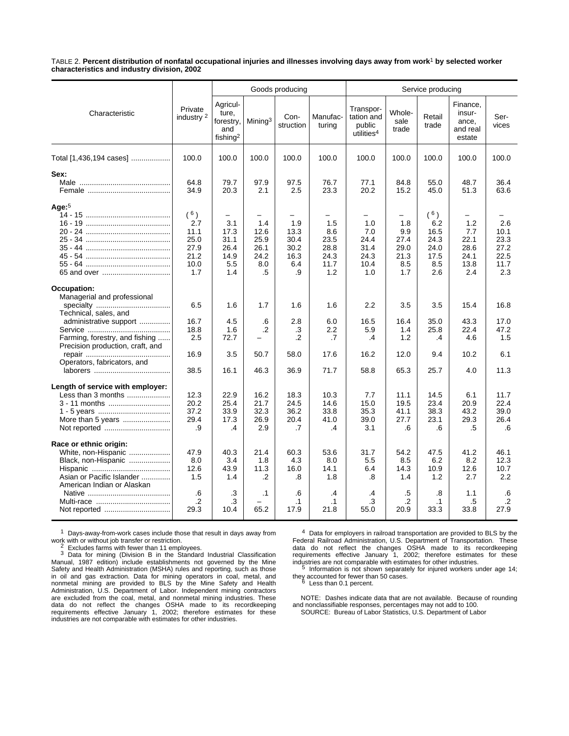TABLE 2. **Percent distribution of nonfatal occupational injuries and illnesses involving days away from work**1 **by selected worker characteristics and industry division, 2002**

|                                                                                                                                                                                                    |                                                                |                                                               | Goods producing                                  |                                                  |                                                   |                                                             | Service producing                                |                                                               |                                                   |                                                    |  |  |
|----------------------------------------------------------------------------------------------------------------------------------------------------------------------------------------------------|----------------------------------------------------------------|---------------------------------------------------------------|--------------------------------------------------|--------------------------------------------------|---------------------------------------------------|-------------------------------------------------------------|--------------------------------------------------|---------------------------------------------------------------|---------------------------------------------------|----------------------------------------------------|--|--|
| Characteristic                                                                                                                                                                                     | Private<br>industry <sup>2</sup>                               | Agricul-<br>ture.<br>forestry,<br>and<br>fishing <sup>2</sup> | Mining <sup>3</sup>                              | Con-<br>struction                                | Manufac-<br>turing                                | Transpor-<br>tation and<br>public<br>utilities <sup>4</sup> | Whole-<br>sale<br>trade                          | Retail<br>trade                                               | Finance.<br>insur-<br>ance,<br>and real<br>estate | Ser-<br>vices                                      |  |  |
| Total [1,436,194 cases]                                                                                                                                                                            | 100.0                                                          | 100.0                                                         | 100.0                                            | 100.0                                            | 100.0                                             | 100.0                                                       | 100.0                                            | 100.0                                                         | 100.0                                             | 100.0                                              |  |  |
| Sex:                                                                                                                                                                                               | 64.8<br>34.9                                                   | 79.7<br>20.3                                                  | 97.9<br>2.1                                      | 97.5<br>2.5                                      | 76.7<br>23.3                                      | 77.1<br>20.2                                                | 84.8<br>15.2                                     | 55.0<br>45.0                                                  | 48.7<br>51.3                                      | 36.4<br>63.6                                       |  |  |
| Age: $5$                                                                                                                                                                                           | $(^{6})$<br>2.7<br>11.1<br>25.0<br>27.9<br>21.2<br>10.0<br>1.7 | 3.1<br>17.3<br>31.1<br>26.4<br>14.9<br>5.5<br>1.4             | 1.4<br>12.6<br>25.9<br>26.1<br>24.2<br>8.0<br>.5 | 1.9<br>13.3<br>30.4<br>30.2<br>16.3<br>6.4<br>.9 | 1.5<br>8.6<br>23.5<br>28.8<br>24.3<br>11.7<br>1.2 | 1.0<br>7.0<br>24.4<br>31.4<br>24.3<br>10.4<br>1.0           | 1.8<br>9.9<br>27.4<br>29.0<br>21.3<br>8.5<br>1.7 | $(^{6})$<br>6.2<br>16.5<br>24.3<br>24.0<br>17.5<br>8.5<br>2.6 | 1.2<br>7.7<br>22.1<br>28.6<br>24.1<br>13.8<br>2.4 | 2.6<br>10.1<br>23.3<br>27.2<br>22.5<br>11.7<br>2.3 |  |  |
| Occupation:<br>Managerial and professional<br>Technical, sales, and<br>administrative support<br>Farming, forestry, and fishing<br>Precision production, craft, and<br>Operators, fabricators, and | 6.5<br>16.7<br>18.8<br>2.5<br>16.9                             | 1.6<br>4.5<br>1.6<br>72.7<br>3.5                              | 1.7<br>.6<br>.2<br>50.7                          | 1.6<br>2.8<br>.3<br>.2<br>58.0                   | 1.6<br>6.0<br>2.2<br>.7<br>17.6                   | 2.2<br>16.5<br>5.9<br>.4<br>16.2                            | 3.5<br>16.4<br>1.4<br>1.2<br>12.0                | 3.5<br>35.0<br>25.8<br>.4<br>9.4                              | 15.4<br>43.3<br>22.4<br>4.6<br>10.2               | 16.8<br>17.0<br>47.2<br>1.5<br>6.1                 |  |  |
| Length of service with employer:<br>Less than 3 months<br>3 - 11 months<br>More than 5 years                                                                                                       | 38.5<br>12.3<br>20.2<br>37.2<br>29.4<br>.9                     | 16.1<br>22.9<br>25.4<br>33.9<br>17.3<br>.4                    | 46.3<br>16.2<br>21.7<br>32.3<br>26.9<br>2.9      | 36.9<br>18.3<br>24.5<br>36.2<br>20.4<br>.7       | 71.7<br>10.3<br>14.6<br>33.8<br>41.0<br>.4        | 58.8<br>7.7<br>15.0<br>35.3<br>39.0<br>3.1                  | 65.3<br>11.1<br>19.5<br>41.1<br>27.7<br>.6       | 25.7<br>14.5<br>23.4<br>38.3<br>23.1<br>.6                    | 4.0<br>6.1<br>20.9<br>43.2<br>29.3<br>.5          | 11.3<br>11.7<br>22.4<br>39.0<br>26.4<br>.6         |  |  |
| Race or ethnic origin:<br>White, non-Hispanic<br>Black, non-Hispanic<br>Asian or Pacific Islander<br>American Indian or Alaskan                                                                    | 47.9<br>8.0<br>12.6<br>1.5<br>.6<br>.2                         | 40.3<br>3.4<br>43.9<br>1.4<br>.3<br>.3                        | 21.4<br>1.8<br>11.3<br>$\cdot$<br>$\cdot$ 1      | 60.3<br>4.3<br>16.0<br>.8<br>.6<br>$\cdot$ 1     | 53.6<br>8.0<br>14.1<br>1.8<br>.4<br>$\cdot$ 1     | 31.7<br>5.5<br>6.4<br>.8<br>.4<br>.3                        | 54.2<br>8.5<br>14.3<br>1.4<br>.5<br>$\cdot$      | 47.5<br>6.2<br>10.9<br>1.2<br>.8<br>$\cdot$ 1                 | 41.2<br>8.2<br>12.6<br>2.7<br>1.1<br>.5           | 46.1<br>12.3<br>10.7<br>2.2<br>.6<br>$\cdot$       |  |  |
|                                                                                                                                                                                                    | 29.3                                                           | 10.4                                                          | 65.2                                             | 17.9                                             | 21.8                                              | 55.0                                                        | 20.9                                             | 33.3                                                          | 33.8                                              | 27.9                                               |  |  |

1 Days-away-from-work cases include those that result in days away from<br>work with or without job transfer or restriction.<br> $\frac{2}{5}$  Excludes forms with fourar than 11 cmnloyees

with or with or with the verthan 11 employees.<br>
<sup>2</sup> Excludes farms with fewer than 11 employees.<br>
<sup>3</sup> Data for mining (Division B in the Standard Industrial Classification Manual, 1987 edition) include establishments not governed by the Mine Safety and Health Administration (MSHA) rules and reporting, such as those in oil and gas extraction. Data for mining operators in coal, metal, and nonmetal mining are provided to BLS by the Mine Safety and Health Administration, U.S. Department of Labor. Independent mining contractors are excluded from the coal, metal, and nonmetal mining industries. These data do not reflect the changes OSHA made to its recordkeeping requirements effective January 1, 2002; therefore estimates for these industries are not comparable with estimates for other industries.

<sup>4</sup> Data for employers in railroad transportation are provided to BLS by the Federal Railroad Administration, U.S. Department of Transportation. These data do not reflect the changes OSHA made to its recordkeeping require

they accounted for fewer than 50 cases. <sup>6</sup> Less than 0.1 percent.

NOTE: Dashes indicate data that are not available. Because of rounding and nonclassifiable responses, percentages may not add to 100. SOURCE: Bureau of Labor Statistics, U.S. Department of Labor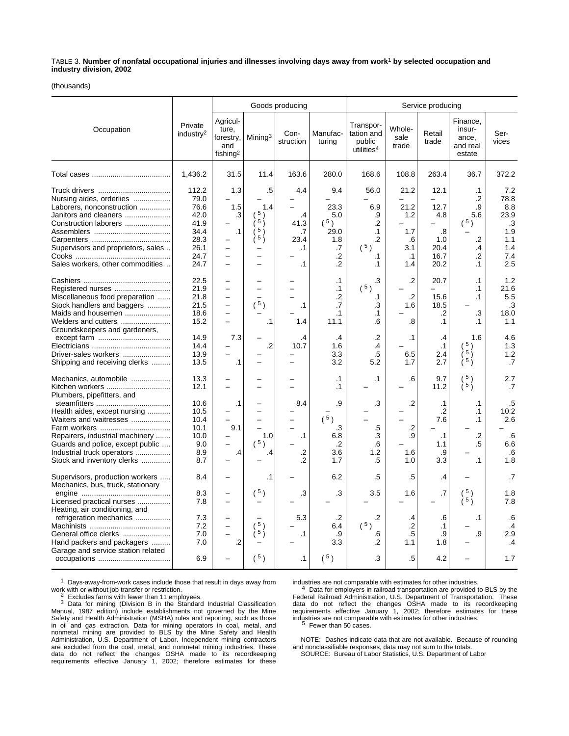TABLE 3. **Number of nonfatal occupational injuries and illnesses involving days away from work**1 **by selected occupation and industry division, 2002**

(thousands)

|                                                                                                                                                                                           |                                                                               | Goods producing                                                                       |                                                                         |                                                           |                                                                 | Service producing                                                                   |                                                             |                                                                                      |                                                             |                                                                     |  |
|-------------------------------------------------------------------------------------------------------------------------------------------------------------------------------------------|-------------------------------------------------------------------------------|---------------------------------------------------------------------------------------|-------------------------------------------------------------------------|-----------------------------------------------------------|-----------------------------------------------------------------|-------------------------------------------------------------------------------------|-------------------------------------------------------------|--------------------------------------------------------------------------------------|-------------------------------------------------------------|---------------------------------------------------------------------|--|
| Occupation                                                                                                                                                                                | Private<br>industry <sup>2</sup>                                              | Agricul-<br>ture,<br>forestry,<br>and<br>fishing <sup>2</sup>                         | Mining <sup>3</sup>                                                     | Con-<br>struction                                         | Manufac-<br>turing                                              | Transpor-<br>tation and<br>public<br>utilities <sup>4</sup>                         | Whole-<br>sale<br>trade                                     | Retail<br>trade                                                                      | Finance,<br>insur-<br>ance,<br>and real<br>estate           | Ser-<br>vices                                                       |  |
|                                                                                                                                                                                           | 1,436.2                                                                       | 31.5                                                                                  | 11.4                                                                    | 163.6                                                     | 280.0                                                           | 168.6                                                                               | 108.8                                                       | 263.4                                                                                | 36.7                                                        | 372.2                                                               |  |
| Nursing aides, orderlies<br>Laborers, nonconstruction<br>Janitors and cleaners<br>Construction laborers<br>Supervisors and proprietors, sales<br>Sales workers, other commodities         | 112.2<br>79.0<br>76.6<br>42.0<br>41.9<br>34.4<br>28.3<br>26.1<br>24.7<br>24.7 | 1.3<br>1.5<br>.3<br>$\cdot$ 1<br>$\overline{\phantom{0}}$<br>$\overline{\phantom{0}}$ | .5<br>1.4<br>(5)<br>$\frac{1}{2}$ 5 $\frac{1}{2}$<br>5)<br>$5 \text{ }$ | 4.4<br>.4<br>41.3<br>.7<br>23.4<br>$\cdot$ 1<br>$\cdot$ 1 | 9.4<br>23.3<br>5.0<br>(5)<br>29.0<br>1.8<br>.7<br>$\cdot$<br>.2 | 56.0<br>6.9<br>.9<br>$\cdot$<br>$\cdot$ 1<br>$\cdot$<br>$(^{5})$<br>$\cdot$ 1<br>.1 | 21.2<br>21.2<br>1.2<br>1.7<br>.6<br>3.1<br>$\cdot$ 1<br>1.4 | 12.1<br>12.7<br>4.8<br>$\overline{\phantom{0}}$<br>.8<br>1.0<br>20.4<br>16.7<br>20.2 | $\cdot$ 1<br>.2<br>.9<br>5.6<br>(5)<br>.2<br>.4<br>.2<br>.1 | 7.2<br>78.8<br>8.8<br>23.9<br>.3<br>1.9<br>1.1<br>1.4<br>7.4<br>2.5 |  |
| Miscellaneous food preparation<br>Stock handlers and baggers<br>Maids and housemen<br>Welders and cutters                                                                                 | 22.5<br>21.9<br>21.8<br>21.5<br>18.6<br>15.2                                  | $\overline{\phantom{0}}$<br>$\overline{\phantom{0}}$<br>$\equiv$<br>$\equiv$          | $\equiv$<br>$(^{5})$<br>$\cdot$ 1                                       | $\cdot$ 1<br>1.4                                          | $\cdot$ 1<br>$\cdot$ 1<br>.2<br>.7<br>$\cdot$ 1<br>11.1         | .3<br>(5)<br>.1<br>.3<br>$\cdot$ 1<br>.6                                            | $\cdot$<br>$\cdot$<br>1.6<br>.8                             | 20.7<br>15.6<br>18.5<br>.2<br>$\cdot$ 1                                              | $\cdot$ 1<br>.1<br>$\cdot$ 1<br>.3<br>$\cdot$ 1             | 1.2<br>21.6<br>5.5<br>.3<br>18.0<br>1.1                             |  |
| Groundskeepers and gardeners,<br>Driver-sales workers<br>Shipping and receiving clerks                                                                                                    | 14.9<br>14.4<br>13.9<br>13.5                                                  | 7.3<br>$\cdot$ 1                                                                      | $\overline{2}$                                                          | .4<br>10.7                                                | .4<br>1.6<br>3.3<br>3.2                                         | .2<br>.4<br>.5<br>5.2                                                               | $\cdot$ 1<br>6.5<br>1.7                                     | $\cdot$<br>$\cdot$ 1<br>2.4<br>2.7                                                   | 1.6<br>(5)<br>ί <sup>5</sup> )<br>$\lambda$ 5 $\lambda$     | 4.6<br>1.3<br>1.2<br>.7                                             |  |
| Mechanics, automobile<br>Kitchen workers<br>Plumbers, pipefitters, and                                                                                                                    | 13.3<br>12.1                                                                  |                                                                                       |                                                                         |                                                           | $\cdot$ 1<br>$\cdot$ 1                                          | $\cdot$ 1                                                                           | .6                                                          | 9.7<br>11.2                                                                          | 5)<br>$\lambda$ 5 $\lambda$                                 | 2.7<br>.7                                                           |  |
| Health aides, except nursing<br>Waiters and waitresses<br>Repairers, industrial machinery<br>Guards and police, except public<br>Industrial truck operators<br>Stock and inventory clerks | 10.6<br>10.5<br>10.4<br>10.1<br>10.0<br>9.0<br>8.9<br>8.7                     | $\cdot$ 1<br>9.1<br>$\cdot$                                                           | 1.0<br>(5)<br>.4                                                        | 8.4<br>$\cdot$ 1<br>.2<br>.2                              | .9<br>(5)<br>.3<br>6.8<br>.2<br>3.6<br>1.7                      | .3<br>.5<br>.3<br>.6<br>1.2<br>.5                                                   | .2<br>.2<br>.9<br>1.6<br>1.0                                | $\cdot$ 1<br>$\cdot$<br>7.6<br>$\cdot$ 1<br>1.1<br>.9<br>3.3                         | .1<br>$\cdot$ 1<br>$\cdot$ 1<br>.2<br>.5<br>$\cdot$ 1       | .5<br>10.2<br>2.6<br>.6<br>6.6<br>.6<br>1.8                         |  |
| Supervisors, production workers<br>Mechanics, bus, truck, stationary                                                                                                                      | 8.4                                                                           | -                                                                                     | $\cdot$                                                                 |                                                           | 6.2                                                             | .5                                                                                  | .5                                                          | .4                                                                                   |                                                             | .7                                                                  |  |
| Licensed practical nurses<br>Heating, air conditioning, and                                                                                                                               | 8.3<br>7.8                                                                    | $\overline{\phantom{0}}$<br>$\overline{\phantom{0}}$                                  | $(^{5})$                                                                | .3                                                        | .3                                                              | 3.5                                                                                 | 1.6                                                         | .7                                                                                   | $5 \rangle$<br>$\frac{1}{2}$ 5 $\frac{1}{2}$                | 1.8<br>7.8                                                          |  |
| refrigeration mechanics<br>General office clerks<br>Hand packers and packagers                                                                                                            | 7.3<br>7.2<br>7.0<br>7.0                                                      | -<br>$\overline{\phantom{0}}$<br>$\equiv$<br>$.2\phantom{0}$                          | (5)<br>ì 5 j                                                            | 5.3<br>$\cdot$ 1                                          | $\cdot$<br>6.4<br>.9<br>3.3                                     | .2<br>(5)<br>.6<br>.2                                                               | .4<br>.2<br>.5<br>1.1                                       | .6<br>$\cdot$ 1<br>.9<br>1.8                                                         | $\cdot$ 1<br>.9                                             | .6<br>.4<br>2.9<br>.4                                               |  |
| Garage and service station related                                                                                                                                                        | 6.9                                                                           |                                                                                       | $(^{5})$                                                                | $\cdot$ 1                                                 | $(^{5})$                                                        | .3                                                                                  | .5                                                          | 4.2                                                                                  |                                                             | 1.7                                                                 |  |

 $1$  Days-away-from-work cases include those that result in days away from

work with or without job transfer or restriction.<br><sup>2</sup> Excludes farms with fewer than 11 employees.<br><sup>3</sup> Data for mining (Division B in the Standard Industrial Classification<br>Manual, 1987 edition) include establishments not Safety and Health Administration (MSHA) rules and reporting, such as those in oil and gas extraction. Data for mining operators in coal, metal, and nonmetal mining are provided to BLS by the Mine Safety and Health Administration, U.S. Department of Labor. Independent mining contractors are excluded from the coal, metal, and nonmetal mining industries. These data do not reflect the changes OSHA made to its recordkeeping requirements effective January 1, 2002; therefore estimates for these

industries are not comparable with estimates for other industries. 4 Data for employers in railroad transportation are provided to BLS by the Federal Railroad Administration, U.S. Department of Transportation. These data do not reflect the changes OSHA made to its recordkeeping requirements effective January 1, 2002; therefore estimates for these industries are not comparable with estimates for other industries. 5 Fewer than 50 cases.

NOTE: Dashes indicate data that are not available. Because of rounding and nonclassifiable responses, data may not sum to the totals.

SOURCE: Bureau of Labor Statistics, U.S. Department of Labor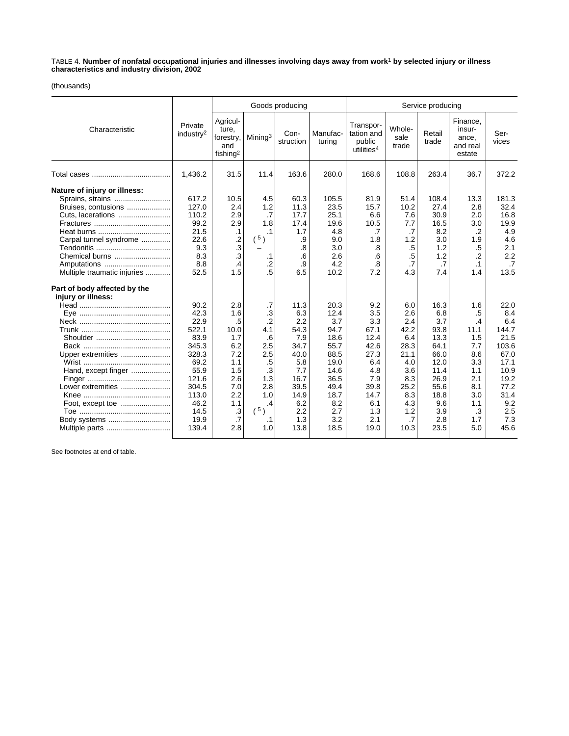TABLE 4. **Number of nonfatal occupational injuries and illnesses involving days away from work**1 **by selected injury or illness characteristics and industry division, 2002**

#### (thousands)

|                                                                                                                                                                                        |                                                                                                                                     |                                                                                                                |                                                                                                                           | Goods producing                                                                                                      |                                                                                                                          | Service producing                                                                                                   |                                                                                                                  |                                                                                                                         |                                                                                                            |                                                                                                                           |
|----------------------------------------------------------------------------------------------------------------------------------------------------------------------------------------|-------------------------------------------------------------------------------------------------------------------------------------|----------------------------------------------------------------------------------------------------------------|---------------------------------------------------------------------------------------------------------------------------|----------------------------------------------------------------------------------------------------------------------|--------------------------------------------------------------------------------------------------------------------------|---------------------------------------------------------------------------------------------------------------------|------------------------------------------------------------------------------------------------------------------|-------------------------------------------------------------------------------------------------------------------------|------------------------------------------------------------------------------------------------------------|---------------------------------------------------------------------------------------------------------------------------|
| Characteristic                                                                                                                                                                         | Private<br>industry <sup>2</sup>                                                                                                    | Agricul-<br>ture,<br>forestry,<br>and<br>fishing <sup>2</sup>                                                  | Mining <sup>3</sup>                                                                                                       | Con-<br>struction                                                                                                    | Manufac-<br>turing                                                                                                       | Transpor-<br>tation and<br>public<br>utilities <sup>4</sup>                                                         | Whole-<br>sale<br>trade                                                                                          | Retail<br>trade                                                                                                         | Finance,<br>insur-<br>ance,<br>and real<br>estate                                                          | Ser-<br>vices                                                                                                             |
|                                                                                                                                                                                        | 1,436.2                                                                                                                             | 31.5                                                                                                           | 11.4                                                                                                                      | 163.6                                                                                                                | 280.0                                                                                                                    | 168.6                                                                                                               | 108.8                                                                                                            | 263.4                                                                                                                   | 36.7                                                                                                       | 372.2                                                                                                                     |
| Nature of injury or illness:<br>Sprains, strains<br>Bruises, contusions<br>Cuts, lacerations<br>Carpal tunnel syndrome<br>Chemical burns<br>Amputations<br>Multiple traumatic injuries | 617.2<br>127.0<br>110.2<br>99.2<br>21.5<br>22.6<br>9.3<br>8.3<br>8.8<br>52.5                                                        | 10.5<br>2.4<br>2.9<br>2.9<br>$\cdot$ 1<br>$\frac{.2}{.3}$<br>$\overline{\mathbf{3}}$<br>$\cdot$ 4<br>1.5       | 4.5<br>1.2<br>$\cdot$ 7<br>1.8<br>.1<br>$(^{5})$<br>.1<br>$\cdot$<br>$.5\,$                                               | 60.3<br>11.3<br>17.7<br>17.4<br>1.7<br>.9<br>.8<br>.6<br>.9<br>6.5                                                   | 105.5<br>23.5<br>25.1<br>19.6<br>4.8<br>9.0<br>3.0<br>2.6<br>4.2<br>10.2                                                 | 81.9<br>15.7<br>6.6<br>10.5<br>.7<br>1.8<br>.8<br>.6<br>.8<br>7.2                                                   | 51.4<br>10.2<br>7.6<br>7.7<br>$\cdot$ 7<br>1.2<br>$.5\,$<br>$.5\,$<br>$\cdot$<br>4.3                             | 108.4<br>27.4<br>30.9<br>16.5<br>8.2<br>3.0<br>1.2<br>1.2<br>.7<br>7.4                                                  | 13.3<br>2.8<br>2.0<br>3.0<br>$\cdot$<br>1.9<br>$.5\,$<br>$\cdot$<br>.1<br>1.4                              | 181.3<br>32.4<br>16.8<br>19.9<br>4.9<br>4.6<br>2.1<br>2.2<br>.7<br>13.5                                                   |
| Part of body affected by the<br>injury or illness:<br>Upper extremities<br>Hand, except finger<br>Lower extremities<br>Body systems<br>Multiple parts                                  | 90.2<br>42.3<br>22.9<br>522.1<br>83.9<br>345.3<br>328.3<br>69.2<br>55.9<br>121.6<br>304.5<br>113.0<br>46.2<br>14.5<br>19.9<br>139.4 | 2.8<br>1.6<br>.5<br>10.0<br>1.7<br>6.2<br>7.2<br>1.1<br>1.5<br>2.6<br>7.0<br>2.2<br>1.1<br>.3<br>$.7\,$<br>2.8 | .7<br>$\cdot$ 3<br>$\cdot$<br>4.1<br>.6<br>2.5<br>2.5<br>$.5\,$<br>.3<br>1.3<br>2.8<br>1.0<br>$\cdot$<br>(5)<br>.1<br>1.0 | 11.3<br>6.3<br>2.2<br>54.3<br>7.9<br>34.7<br>40.0<br>5.8<br>7.7<br>16.7<br>39.5<br>14.9<br>6.2<br>2.2<br>1.3<br>13.8 | 20.3<br>12.4<br>3.7<br>94.7<br>18.6<br>55.7<br>88.5<br>19.0<br>14.6<br>36.5<br>49.4<br>18.7<br>8.2<br>2.7<br>3.2<br>18.5 | 9.2<br>3.5<br>3.3<br>67.1<br>12.4<br>42.6<br>27.3<br>6.4<br>4.8<br>7.9<br>39.8<br>14.7<br>6.1<br>1.3<br>2.1<br>19.0 | 6.0<br>2.6<br>2.4<br>42.2<br>6.4<br>28.3<br>21.1<br>4.0<br>3.6<br>8.3<br>25.2<br>8.3<br>4.3<br>1.2<br>.7<br>10.3 | 16.3<br>6.8<br>3.7<br>93.8<br>13.3<br>64.1<br>66.0<br>12.0<br>11.4<br>26.9<br>55.6<br>18.8<br>9.6<br>3.9<br>2.8<br>23.5 | 1.6<br>.5<br>.4<br>11.1<br>1.5<br>7.7<br>8.6<br>3.3<br>1.1<br>2.1<br>8.1<br>3.0<br>1.1<br>.3<br>1.7<br>5.0 | 22.0<br>8.4<br>6.4<br>144.7<br>21.5<br>103.6<br>67.0<br>17.1<br>10.9<br>19.2<br>77.2<br>31.4<br>9.2<br>2.5<br>7.3<br>45.6 |

See footnotes at end of table.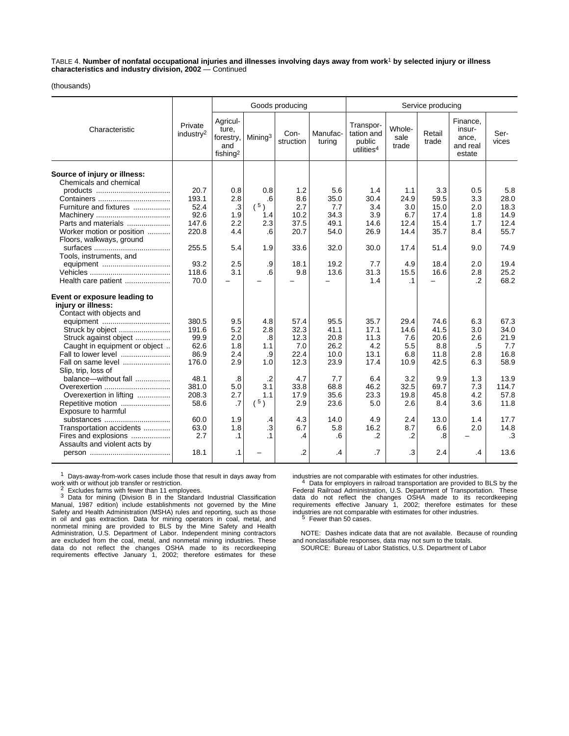TABLE 4. **Number of nonfatal occupational injuries and illnesses involving days away from work**1 **by selected injury or illness characteristics and industry division, 2002** — Continued

(thousands)

|                                                                                |                                  |                                                               | Goods producing     |                   |                    |                                                             | Service producing       |                 |                                                   |               |  |
|--------------------------------------------------------------------------------|----------------------------------|---------------------------------------------------------------|---------------------|-------------------|--------------------|-------------------------------------------------------------|-------------------------|-----------------|---------------------------------------------------|---------------|--|
| Characteristic                                                                 | Private<br>industry <sup>2</sup> | Agricul-<br>ture,<br>forestry,<br>and<br>fishing <sup>2</sup> | Mining <sup>3</sup> | Con-<br>struction | Manufac-<br>turing | Transpor-<br>tation and<br>public<br>utilities <sup>4</sup> | Whole-<br>sale<br>trade | Retail<br>trade | Finance,<br>insur-<br>ance.<br>and real<br>estate | Ser-<br>vices |  |
| Source of injury or illness:<br>Chemicals and chemical                         |                                  |                                                               |                     |                   |                    |                                                             |                         |                 |                                                   |               |  |
|                                                                                | 20.7                             | 0.8                                                           | 0.8                 | 1.2               | 5.6                | 1.4                                                         | 1.1                     | 3.3             | 0.5                                               | 5.8           |  |
|                                                                                | 193.1                            | 2.8                                                           | .6                  | 8.6               | 35.0               | 30.4                                                        | 24.9                    | 59.5            | 3.3                                               | 28.0          |  |
| Furniture and fixtures                                                         | 52.4                             | .3                                                            | (5)                 | 2.7               | 7.7                | 3.4                                                         | 3.0                     | 15.0            | 2.0                                               | 18.3          |  |
|                                                                                | 92.6                             | 1.9                                                           | 1.4                 | 10.2              | 34.3               | 3.9                                                         | 6.7                     | 17.4            | 1.8                                               | 14.9          |  |
| Parts and materials                                                            | 147.6                            | 2.2                                                           | 2.3                 | 37.5              | 49.1               | 14.6                                                        | 12.4                    | 15.4            | 1.7                                               | 12.4          |  |
| Worker motion or position                                                      | 220.8                            | 4.4                                                           | .6                  | 20.7              | 54.0               | 26.9                                                        | 14.4                    | 35.7            | 8.4                                               | 55.7          |  |
| Floors, walkways, ground                                                       |                                  |                                                               |                     |                   |                    |                                                             |                         |                 |                                                   |               |  |
|                                                                                | 255.5                            | 5.4                                                           | 1.9                 | 33.6              | 32.0               | 30.0                                                        | 17.4                    | 51.4            | 9.0                                               | 74.9          |  |
| Tools, instruments, and                                                        |                                  |                                                               |                     |                   |                    |                                                             |                         |                 |                                                   |               |  |
|                                                                                | 93.2                             | 2.5                                                           | .9                  | 18.1              | 19.2               | 7.7                                                         | 4.9                     | 18.4            | 2.0                                               | 19.4          |  |
|                                                                                | 118.6                            | 3.1                                                           | .6                  | 9.8               | 13.6               | 31.3                                                        | 15.5                    | 16.6            | 2.8                                               | 25.2          |  |
| Health care patient                                                            | 70.0                             |                                                               |                     |                   |                    | 1.4                                                         | $\cdot$ 1               |                 | .2                                                | 68.2          |  |
| Event or exposure leading to<br>injury or illness:<br>Contact with objects and |                                  |                                                               |                     |                   |                    |                                                             |                         |                 |                                                   |               |  |
|                                                                                | 380.5                            | 9.5                                                           | 4.8                 | 57.4              | 95.5               | 35.7                                                        | 29.4                    | 74.6            | 6.3                                               | 67.3          |  |
| Struck by object                                                               | 191.6                            | 5.2                                                           | 2.8                 | 32.3              | 41.1               | 17.1                                                        | 14.6                    | 41.5            | 3.0                                               | 34.0          |  |
| Struck against object                                                          | 99.9                             | 2.0                                                           | .8                  | 12.3              | 20.8               | 11.3                                                        | 7.6                     | 20.6            | 2.6                                               | 21.9          |  |
| Caught in equipment or object                                                  | 62.6                             | 1.8                                                           | 1.1                 | 7.0               | 26.2               | 4.2                                                         | 5.5                     | 8.8             | .5                                                | 7.7           |  |
| Fall to lower level                                                            | 86.9                             | 2.4                                                           | .9                  | 22.4              | 10.0               | 13.1                                                        | 6.8                     | 11.8            | 2.8                                               | 16.8          |  |
| Fall on same level                                                             | 176.0                            | 2.9                                                           | 1.0                 | 12.3              | 23.9               | 17.4                                                        | 10.9                    | 42.5            | 6.3                                               | 58.9          |  |
| Slip, trip, loss of                                                            |                                  |                                                               |                     |                   |                    |                                                             |                         |                 |                                                   |               |  |
| balance—without fall                                                           | 48.1                             | .8                                                            | $\cdot$ .2          | 4.7               | 7.7                | 6.4                                                         | 3.2                     | 9.9             | 1.3                                               | 13.9          |  |
| Overexertion                                                                   | 381.0                            | 5.0                                                           | 3.1                 | 33.8              | 68.8               | 46.2                                                        | 32.5                    | 69.7            | 7.3                                               | 114.7         |  |
| Overexertion in lifting                                                        | 208.3                            | 2.7                                                           | 1.1                 | 17.9              | 35.6               | 23.3                                                        | 19.8                    | 45.8            | 4.2                                               | 57.8          |  |
| Repetitive motion                                                              | 58.6                             | $\cdot$ 7                                                     | $(^{5})$            | 2.9               | 23.6               | 5.0                                                         | 2.6                     | 8.4             | 3.6                                               | 11.8          |  |
| Exposure to harmful                                                            |                                  |                                                               |                     |                   |                    |                                                             |                         |                 |                                                   |               |  |
| substances                                                                     | 60.0                             | 1.9                                                           | .4                  | 4.3               | 14.0               | 4.9                                                         | 2.4                     | 13.0            | 1.4                                               | 17.7          |  |
| Transportation accidents                                                       | 63.0                             | 1.8                                                           | $\cdot$ 3           | 6.7               | 5.8                | 16.2                                                        | 8.7                     | 6.6             | 2.0                                               | 14.8          |  |
| Fires and explosions                                                           | 2.7                              | $\cdot$ 1                                                     | $\cdot$ 1           | $\cdot$           | .6                 | $\cdot$                                                     | $\cdot$                 | .8              |                                                   | .3            |  |
| Assaults and violent acts by                                                   |                                  |                                                               |                     |                   |                    |                                                             |                         |                 |                                                   |               |  |
|                                                                                | 18.1                             | $\cdot$ 1                                                     |                     | $\cdot$           | .4                 | .7                                                          | .3                      | 2.4             | .4                                                | 13.6          |  |

1 Days-away-from-work cases include those that result in days away from<br>work with or without job transfer or restriction.<br> $\frac{2}{\pi}$  Excludes farms with fourar than 11 amplesses

2 Excludes farms with fewer than 11 employees.<br>3 Data for mining (Division B in the Standard Industrial Classification Manual, 1987 edition) include establishments not governed by the Mine Safety and Health Administration (MSHA) rules and reporting, such as those in oil and gas extraction. Data for mining operators in coal, metal, and nonmetal mining are provided to BLS by the Mine Safety and Health Administration, U.S. Department of Labor. Independent mining contractors are excluded from the coal, metal, and nonmetal mining industries. These data do not reflect the changes OSHA made to its recordkeeping requirements effective January 1, 2002; therefore estimates for these

industries are not comparable with estimates for other industries. 4 Data for employers in railroad transportation are provided to BLS by the Federal Railroad Administration, U.S. Department of Transportation. These data do not reflect the changes OSHA made to its recordkeeping requirements effective January 1, 2002; therefore estimates for these<br>industries are not comparable with estimates for other industries.<br><sup>5</sup> Fewer than 50 cases.

NOTE: Dashes indicate data that are not available. Because of rounding and nonclassifiable responses, data may not sum to the totals. SOURCE: Bureau of Labor Statistics, U.S. Department of Labor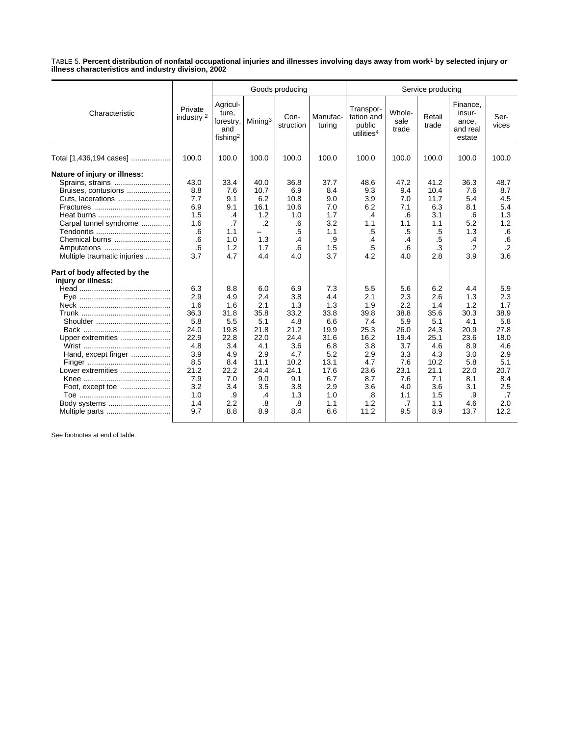TABLE 5. **Percent distribution of nonfatal occupational injuries and illnesses involving days away from work**1 **by selected injury or illness characteristics and industry division, 2002**

|                                                                                                                                                                                        |                                                                                                                  |                                                                                                                 | Goods producing                                                                                                 |                                                                                                                  |                                                                                                                   |                                                                                                                  | Service producing                                                                                               |                                                                                                                   |                                                                                                                  |                                                                                                                  |  |  |
|----------------------------------------------------------------------------------------------------------------------------------------------------------------------------------------|------------------------------------------------------------------------------------------------------------------|-----------------------------------------------------------------------------------------------------------------|-----------------------------------------------------------------------------------------------------------------|------------------------------------------------------------------------------------------------------------------|-------------------------------------------------------------------------------------------------------------------|------------------------------------------------------------------------------------------------------------------|-----------------------------------------------------------------------------------------------------------------|-------------------------------------------------------------------------------------------------------------------|------------------------------------------------------------------------------------------------------------------|------------------------------------------------------------------------------------------------------------------|--|--|
| Characteristic                                                                                                                                                                         | Private<br>industry <sup>2</sup>                                                                                 | Agricul-<br>ture,<br>forestry,<br>and<br>fishing <sup>2</sup>                                                   | Mining <sup>3</sup>                                                                                             | Con-<br>struction                                                                                                | Manufac-<br>turing                                                                                                | Transpor-<br>tation and<br>public<br>utilities <sup>4</sup>                                                      | Whole-<br>sale<br>trade                                                                                         | Retail<br>trade                                                                                                   | Finance,<br>insur-<br>ance,<br>and real<br>estate                                                                | Ser-<br>vices                                                                                                    |  |  |
| Total [1,436,194 cases]                                                                                                                                                                | 100.0                                                                                                            | 100.0                                                                                                           | 100.0                                                                                                           | 100.0                                                                                                            | 100.0                                                                                                             | 100.0                                                                                                            | 100.0                                                                                                           | 100.0                                                                                                             | 100.0                                                                                                            | 100.0                                                                                                            |  |  |
| Nature of injury or illness:<br>Sprains, strains<br>Bruises, contusions<br>Cuts, lacerations<br>Carpal tunnel syndrome<br>Chemical burns<br>Amputations<br>Multiple traumatic injuries | 43.0<br>8.8<br>7.7<br>6.9<br>1.5<br>1.6<br>.6<br>.6<br>.6<br>3.7                                                 | 33.4<br>7.6<br>9.1<br>9.1<br>.4<br>.7<br>1.1<br>1.0<br>1.2<br>4.7                                               | 40.0<br>10.7<br>6.2<br>16.1<br>1.2<br>$\overline{2}$<br>1.3<br>1.7<br>4.4                                       | 36.8<br>6.9<br>10.8<br>10.6<br>1.0<br>.6<br>.5<br>.4<br>.6<br>4.0                                                | 37.7<br>8.4<br>9.0<br>7.0<br>1.7<br>3.2<br>1.1<br>.9<br>1.5<br>3.7                                                | 48.6<br>9.3<br>3.9<br>6.2<br>.4<br>1.1<br>$.5\,$<br>.4<br>$.5\,$<br>4.2                                          | 47.2<br>9.4<br>7.0<br>7.1<br>.6<br>1.1<br>$.5\,$<br>.4<br>.6<br>4.0                                             | 41.2<br>10.4<br>11.7<br>6.3<br>3.1<br>1.1<br>.5<br>.5<br>.3<br>2.8                                                | 36.3<br>7.6<br>5.4<br>8.1<br>.6<br>5.2<br>1.3<br>.4<br>$\cdot$<br>3.9                                            | 48.7<br>8.7<br>4.5<br>5.4<br>1.3<br>1.2<br>.6<br>.6<br>$\cdot$<br>3.6                                            |  |  |
| Part of body affected by the<br>injury or illness:<br>Upper extremities<br>Hand, except finger<br>Lower extremities<br>Body systems<br>Multiple parts                                  | 6.3<br>2.9<br>1.6<br>36.3<br>5.8<br>24.0<br>22.9<br>4.8<br>3.9<br>8.5<br>21.2<br>7.9<br>3.2<br>1.0<br>1.4<br>9.7 | 8.8<br>4.9<br>1.6<br>31.8<br>5.5<br>19.8<br>22.8<br>3.4<br>4.9<br>8.4<br>22.2<br>7.0<br>3.4<br>.9<br>2.2<br>8.8 | 6.0<br>2.4<br>2.1<br>35.8<br>5.1<br>21.8<br>22.0<br>4.1<br>2.9<br>11.1<br>24.4<br>9.0<br>3.5<br>.4<br>.8<br>8.9 | 6.9<br>3.8<br>1.3<br>33.2<br>4.8<br>21.2<br>24.4<br>3.6<br>4.7<br>10.2<br>24.1<br>9.1<br>3.8<br>1.3<br>.8<br>8.4 | 7.3<br>4.4<br>1.3<br>33.8<br>6.6<br>19.9<br>31.6<br>6.8<br>5.2<br>13.1<br>17.6<br>6.7<br>2.9<br>1.0<br>1.1<br>6.6 | 5.5<br>2.1<br>1.9<br>39.8<br>7.4<br>25.3<br>16.2<br>3.8<br>2.9<br>4.7<br>23.6<br>8.7<br>3.6<br>.8<br>1.2<br>11.2 | 5.6<br>2.3<br>2.2<br>38.8<br>5.9<br>26.0<br>19.4<br>3.7<br>3.3<br>7.6<br>23.1<br>7.6<br>4.0<br>1.1<br>.7<br>9.5 | 6.2<br>2.6<br>1.4<br>35.6<br>5.1<br>24.3<br>25.1<br>4.6<br>4.3<br>10.2<br>21.1<br>7.1<br>3.6<br>1.5<br>1.1<br>8.9 | 4.4<br>1.3<br>1.2<br>30.3<br>4.1<br>20.9<br>23.6<br>8.9<br>3.0<br>5.8<br>22.0<br>8.1<br>3.1<br>.9<br>4.6<br>13.7 | 5.9<br>2.3<br>1.7<br>38.9<br>5.8<br>27.8<br>18.0<br>4.6<br>2.9<br>5.1<br>20.7<br>8.4<br>2.5<br>.7<br>2.0<br>12.2 |  |  |

See footnotes at end of table.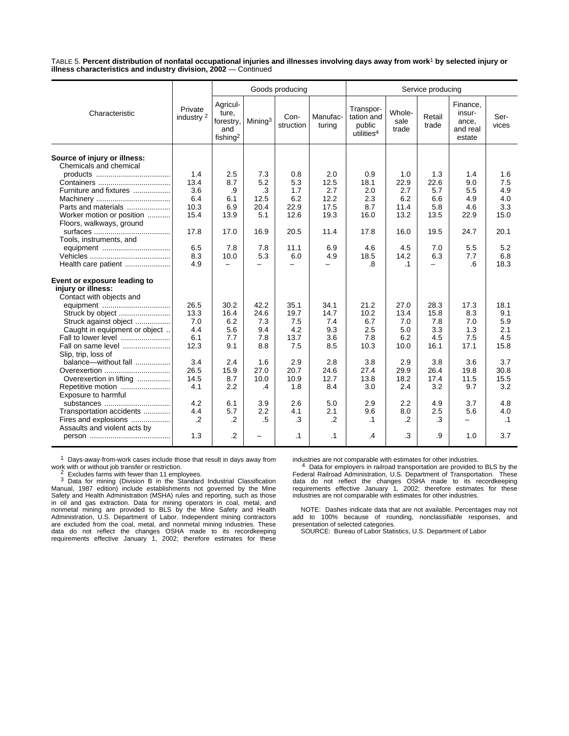TABLE 5. **Percent distribution of nonfatal occupational injuries and illnesses involving days away from work**1 **by selected injury or illness characteristics and industry division, 2002** — Continued

|                                                        |                                  |                                                               |                          | Goods producing   |                          | Service producing                                           |                         |                          |                                                   |               |
|--------------------------------------------------------|----------------------------------|---------------------------------------------------------------|--------------------------|-------------------|--------------------------|-------------------------------------------------------------|-------------------------|--------------------------|---------------------------------------------------|---------------|
| Characteristic                                         | Private<br>industry <sup>2</sup> | Agricul-<br>ture.<br>forestry,<br>and<br>fishing <sup>2</sup> | Mining <sup>3</sup>      | Con-<br>struction | Manufac-<br>turing       | Transpor-<br>tation and<br>public<br>utilities <sup>4</sup> | Whole-<br>sale<br>trade | Retail<br>trade          | Finance,<br>insur-<br>ance,<br>and real<br>estate | Ser-<br>vices |
| Source of injury or illness:<br>Chemicals and chemical |                                  |                                                               |                          |                   |                          |                                                             |                         |                          |                                                   |               |
|                                                        | 1.4                              | 2.5                                                           | 7.3                      | 0.8               | 2.0                      | 0.9                                                         | 1.0                     | 1.3                      | 1.4                                               | 1.6           |
|                                                        | 13.4                             | 8.7                                                           | 5.2                      | 5.3               | 12.5                     | 18.1                                                        | 22.9                    | 22.6                     | 9.0                                               | 7.5           |
| Furniture and fixtures                                 | 3.6                              | .9                                                            | .3                       | 1.7               | 2.7                      | 2.0                                                         | 2.7                     | 5.7                      | 5.5                                               | 4.9           |
|                                                        | 6.4                              | 6.1                                                           | 12.5                     | 6.2               | 12.2                     | 2.3                                                         | 6.2                     | 6.6                      | 4.9                                               | 4.0           |
| Parts and materials                                    | 10.3                             | 6.9                                                           | 20.4                     | 22.9              | 17.5                     | 8.7                                                         | 11.4                    | 5.8                      | 4.6                                               | 3.3           |
| Worker motion or position                              | 15.4                             | 13.9                                                          | 5.1                      | 12.6              | 19.3                     | 16.0                                                        | 13.2                    | 13.5                     | 22.9                                              | 15.0          |
| Floors, walkways, ground                               |                                  |                                                               |                          |                   |                          |                                                             |                         |                          |                                                   |               |
|                                                        | 17.8                             | 17.0                                                          | 16.9                     | 20.5              | 11.4                     | 17.8                                                        | 16.0                    | 19.5                     | 24.7                                              | 20.1          |
| Tools, instruments, and                                |                                  |                                                               |                          |                   |                          |                                                             |                         |                          |                                                   |               |
|                                                        | 6.5                              | 7.8                                                           | 7.8                      | 11.1              | 6.9                      | 4.6                                                         | 4.5                     | 7.0                      | 5.5                                               | 5.2           |
|                                                        | 8.3                              | 10.0                                                          | 5.3                      | 6.0               | 4.9                      | 18.5                                                        | 14.2                    | 6.3                      | 7.7                                               | 6.8           |
| Health care patient                                    | 4.9                              | $\overline{\phantom{m}}$                                      | $\overline{\phantom{0}}$ |                   | $\overline{\phantom{0}}$ | .8                                                          | $\cdot$ 1               | $\overline{\phantom{0}}$ | 6                                                 | 18.3          |
| Event or exposure leading to<br>injury or illness:     |                                  |                                                               |                          |                   |                          |                                                             |                         |                          |                                                   |               |
| Contact with objects and                               |                                  |                                                               |                          |                   |                          |                                                             |                         |                          |                                                   |               |
|                                                        | 26.5                             | 30.2                                                          | 42.2                     | 35.1              | 34.1                     | 21.2                                                        | 27.0                    | 28.3                     | 17.3                                              | 18.1          |
| Struck by object                                       | 13.3                             | 16.4                                                          | 24.6                     | 19.7              | 14.7                     | 10.2                                                        | 13.4                    | 15.8                     | 8.3                                               | 9.1           |
| Struck against object                                  | 7.0                              | 6.2                                                           | 7.3                      | 7.5               | 7.4                      | 6.7                                                         | 7.0                     | 7.8                      | 7.0                                               | 5.9           |
| Caught in equipment or object                          | 4.4                              | 5.6                                                           | 9.4                      | 4.2               | 9.3                      | 2.5                                                         | 5.0                     | 3.3                      | 1.3                                               | 2.1           |
| Fall to lower level                                    | 6.1                              | 7.7                                                           | 7.8                      | 13.7              | 3.6                      | 7.8                                                         | 6.2                     | 4.5                      | 7.5                                               | 4.5           |
| Fall on same level                                     | 12.3                             | 9.1                                                           | 8.8                      | 7.5               | 8.5                      | 10.3                                                        | 10.0                    | 16.1                     | 17.1                                              | 15.8          |
| Slip, trip, loss of                                    |                                  |                                                               |                          |                   |                          |                                                             |                         |                          |                                                   |               |
| balance-without fall                                   | 3.4                              | 2.4                                                           | 1.6                      | 2.9               | 2.8                      | 3.8                                                         | 2.9                     | 3.8                      | 3.6                                               | 3.7           |
| Overexertion                                           | 26.5                             | 15.9                                                          | 27.0                     | 20.7              | 24.6                     | 27.4                                                        | 29.9                    | 26.4                     | 19.8                                              | 30.8          |
| Overexertion in lifting                                | 14.5                             | 8.7                                                           | 10.0                     | 10.9              | 12.7                     | 13.8                                                        | 18.2                    | 17.4                     | 11.5                                              | 15.5          |
| Repetitive motion                                      | 4.1                              | 2.2                                                           | .4                       | 1.8               | 8.4                      | 3.0                                                         | 2.4                     | 3.2                      | 9.7                                               | 3.2           |
| Exposure to harmful                                    |                                  |                                                               |                          |                   |                          |                                                             |                         |                          |                                                   |               |
| substances                                             | 4.2                              | 6.1                                                           | 3.9                      | 2.6               | 5.0                      | 2.9                                                         | 2.2                     | 4.9                      | 3.7                                               | 4.8           |
| Transportation accidents                               | 4.4                              | 5.7                                                           | 2.2                      | 4.1               | 2.1                      | 9.6                                                         | 8.0                     | 2.5                      | 5.6                                               | 4.0           |
| Fires and explosions                                   | $\cdot$ .2                       | .2                                                            | .5                       | .3                | $\cdot$                  | $\cdot$ 1                                                   | .2                      | .3                       | -                                                 | $\cdot$ 1     |
| Assaults and violent acts by                           |                                  |                                                               |                          |                   |                          |                                                             |                         |                          |                                                   |               |
|                                                        | 1.3                              | $\cdot$                                                       | —                        | $\cdot$ 1         | $\cdot$ 1                | .4                                                          | .3                      | .9                       | 1.0                                               | 3.7           |
|                                                        |                                  |                                                               |                          |                   |                          |                                                             |                         |                          |                                                   |               |

 $1$  Days-away-from-work cases include those that result in days away from

work with or without job transfer or restriction.<br><sup>2</sup> Excludes farms with fewer than 11 employees.<br><sup>3</sup> Data for mining (Division B in the Standard Industrial Classification<br>Manual, 1987 edition) include establishments not Safety and Health Administration (MSHA) rules and reporting, such as those in oil and gas extraction. Data for mining operators in coal, metal, and nonmetal mining are provided to BLS by the Mine Safety and Health Administration, U.S. Department of Labor. Independent mining contractors are excluded from the coal, metal, and nonmetal mining industries. These data do not reflect the changes OSHA made to its recordkeeping requirements effective January 1, 2002; therefore estimates for these

industries are not comparable with estimates for other industries.<br>
<sup>4</sup> Data for employers in railroad transportation are provided to BLS by the<br>
Federal Railroad Administration, U.S. Department of Transportation. These<br>
d industries are not comparable with estimates for other industries.

NOTE: Dashes indicate data that are not available. Percentages may not add to 100% because of rounding, nonclassifiable responses, and presentation of selected categories.

SOURCE: Bureau of Labor Statistics, U.S. Department of Labor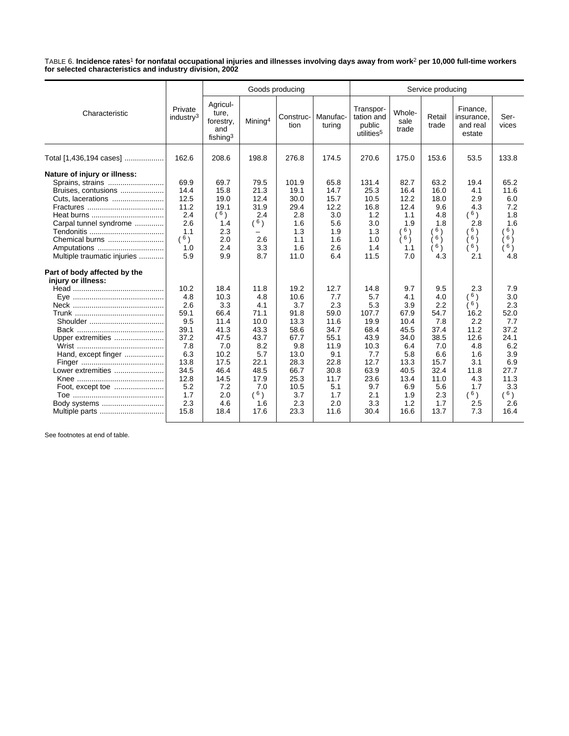TABLE 6. **Incidence rates**1 **for nonfatal occupational injuries and illnesses involving days away from work**2 **per 10,000 full-time workers for selected characteristics and industry division, 2002**

|                                                                                                                                                                                                                        |                                                                                                                      |                                                                                                                         | Goods producing                                                                                                       |                                                                                                                          |                                                                                                                        |                                                                                                                         | Service producing                                                                                                    |                                                                                                                     |                                                                                                                 |                                                                                                                   |  |  |
|------------------------------------------------------------------------------------------------------------------------------------------------------------------------------------------------------------------------|----------------------------------------------------------------------------------------------------------------------|-------------------------------------------------------------------------------------------------------------------------|-----------------------------------------------------------------------------------------------------------------------|--------------------------------------------------------------------------------------------------------------------------|------------------------------------------------------------------------------------------------------------------------|-------------------------------------------------------------------------------------------------------------------------|----------------------------------------------------------------------------------------------------------------------|---------------------------------------------------------------------------------------------------------------------|-----------------------------------------------------------------------------------------------------------------|-------------------------------------------------------------------------------------------------------------------|--|--|
| Characteristic                                                                                                                                                                                                         | Private<br>industry $3$                                                                                              | Agricul-<br>ture,<br>forestry,<br>and<br>fishing <sup>3</sup>                                                           | Mining <sup>4</sup>                                                                                                   | Construc-<br>tion                                                                                                        | Manufac-<br>turing                                                                                                     | Transpor-<br>tation and<br>public<br>utilities <sup>5</sup>                                                             | Whole-<br>sale<br>trade                                                                                              | Retail<br>trade                                                                                                     | Finance,<br>insurance,<br>and real<br>estate                                                                    | Ser-<br>vices                                                                                                     |  |  |
| Total [1,436,194 cases]                                                                                                                                                                                                | 162.6                                                                                                                | 208.6                                                                                                                   | 198.8                                                                                                                 | 276.8                                                                                                                    | 174.5                                                                                                                  | 270.6                                                                                                                   | 175.0                                                                                                                | 153.6                                                                                                               | 53.5                                                                                                            | 133.8                                                                                                             |  |  |
| Nature of injury or illness:<br>Sprains, strains<br>Bruises, contusions<br>Cuts, lacerations<br>Carpal tunnel syndrome<br>Chemical burns<br>Amputations<br>Multiple traumatic injuries<br>Part of body affected by the | 69.9<br>14.4<br>12.5<br>11.2<br>2.4<br>2.6<br>1.1<br>(6)<br>1.0<br>5.9                                               | 69.7<br>15.8<br>19.0<br>19.1<br>(6)<br>1.4<br>2.3<br>2.0<br>2.4<br>9.9                                                  | 79.5<br>21.3<br>12.4<br>31.9<br>2.4<br>(6)<br>-<br>2.6<br>3.3<br>8.7                                                  | 101.9<br>19.1<br>30.0<br>29.4<br>2.8<br>1.6<br>1.3<br>1.1<br>1.6<br>11.0                                                 | 65.8<br>14.7<br>15.7<br>12.2<br>3.0<br>5.6<br>1.9<br>1.6<br>2.6<br>6.4                                                 | 131.4<br>25.3<br>10.5<br>16.8<br>1.2<br>3.0<br>1.3<br>1.0<br>1.4<br>11.5                                                | 82.7<br>16.4<br>12.2<br>12.4<br>1.1<br>1.9<br>6)<br>6j<br>1.1<br>7.0                                                 | 63.2<br>16.0<br>18.0<br>9.6<br>4.8<br>1.8<br>6)<br>(6)<br>$\binom{6}{ }$<br>4.3                                     | 19.4<br>4.1<br>2.9<br>4.3<br>(6)<br>2.8<br><sup>6</sup> )<br>6j<br>6)<br>2.1                                    | 65.2<br>11.6<br>6.0<br>7.2<br>1.8<br>1.6<br>6)<br>$6 \choose$<br>6)<br>4.8                                        |  |  |
| injury or illness:<br>Upper extremities<br>Hand, except finger<br>Lower extremities<br>Body systems                                                                                                                    | 10.2<br>4.8<br>2.6<br>59.1<br>9.5<br>39.1<br>37.2<br>7.8<br>6.3<br>13.8<br>34.5<br>12.8<br>5.2<br>1.7<br>2.3<br>15.8 | 18.4<br>10.3<br>3.3<br>66.4<br>11.4<br>41.3<br>47.5<br>7.0<br>10.2<br>17.5<br>46.4<br>14.5<br>7.2<br>2.0<br>4.6<br>18.4 | 11.8<br>4.8<br>4.1<br>71.1<br>10.0<br>43.3<br>43.7<br>8.2<br>5.7<br>22.1<br>48.5<br>17.9<br>7.0<br>(6)<br>1.6<br>17.6 | 19.2<br>10.6<br>3.7<br>91.8<br>13.3<br>58.6<br>67.7<br>9.8<br>13.0<br>28.3<br>66.7<br>25.3<br>10.5<br>3.7<br>2.3<br>23.3 | 12.7<br>7.7<br>2.3<br>59.0<br>11.6<br>34.7<br>55.1<br>11.9<br>9.1<br>22.8<br>30.8<br>11.7<br>5.1<br>1.7<br>2.0<br>11.6 | 14.8<br>5.7<br>5.3<br>107.7<br>19.9<br>68.4<br>43.9<br>10.3<br>7.7<br>12.7<br>63.9<br>23.6<br>9.7<br>2.1<br>3.3<br>30.4 | 9.7<br>4.1<br>3.9<br>67.9<br>10.4<br>45.5<br>34.0<br>6.4<br>5.8<br>13.3<br>40.5<br>13.4<br>6.9<br>1.9<br>1.2<br>16.6 | 9.5<br>4.0<br>2.2<br>54.7<br>7.8<br>37.4<br>38.5<br>7.0<br>6.6<br>15.7<br>32.4<br>11.0<br>5.6<br>2.3<br>1.7<br>13.7 | 2.3<br>6)<br>(6)<br>16.2<br>2.2<br>11.2<br>12.6<br>4.8<br>1.6<br>3.1<br>11.8<br>4.3<br>1.7<br>(6)<br>2.5<br>7.3 | 7.9<br>3.0<br>2.3<br>52.0<br>7.7<br>37.2<br>24.1<br>6.2<br>3.9<br>6.9<br>27.7<br>11.3<br>3.3<br>6)<br>2.6<br>16.4 |  |  |

See footnotes at end of table.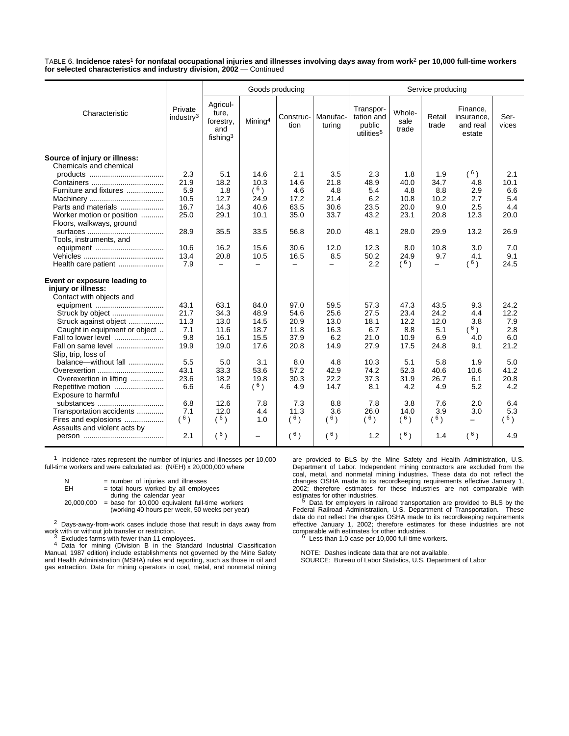TABLE 6. **Incidence rates**1 **for nonfatal occupational injuries and illnesses involving days away from work**2 **per 10,000 full-time workers for selected characteristics and industry division, 2002** — Continued

|                                                        |                                  |                                                      |                          | Goods producing          |                    | Service producing                                           |                         |                          |                                              |               |  |
|--------------------------------------------------------|----------------------------------|------------------------------------------------------|--------------------------|--------------------------|--------------------|-------------------------------------------------------------|-------------------------|--------------------------|----------------------------------------------|---------------|--|
| Characteristic                                         | Private<br>industry <sup>3</sup> | Agricul-<br>ture,<br>forestry,<br>and<br>fishing $3$ | Mining <sup>4</sup>      | Construc-<br>tion        | Manufac-<br>turing | Transpor-<br>tation and<br>public<br>utilities <sup>5</sup> | Whole-<br>sale<br>trade | Retail<br>trade          | Finance,<br>insurance,<br>and real<br>estate | Ser-<br>vices |  |
| Source of injury or illness:<br>Chemicals and chemical |                                  |                                                      |                          |                          |                    |                                                             |                         |                          |                                              |               |  |
|                                                        | 2.3                              | 5.1                                                  | 14.6                     | 2.1                      | 3.5                | 2.3                                                         | 1.8                     | 1.9                      | $(^{6})$                                     | 2.1           |  |
|                                                        | 21.9                             | 18.2                                                 | 10.3                     | 14.6                     | 21.8               | 48.9                                                        | 40.0                    | 34.7                     | 4.8                                          | 10.1          |  |
| Furniture and fixtures                                 | 5.9                              | 1.8                                                  | $(^{6})$                 | 4.6                      | 4.8                | 5.4                                                         | 4.8                     | 8.8                      | 2.9                                          | 6.6           |  |
|                                                        | 10.5                             | 12.7                                                 | 24.9                     | 17.2                     | 21.4               | 6.2                                                         | 10.8                    | 10.2                     | 2.7                                          | 5.4           |  |
| Parts and materials<br>Worker motion or position       | 16.7<br>25.0                     | 14.3<br>29.1                                         | 40.6<br>10.1             | 63.5<br>35.0             | 30.6<br>33.7       | 23.5<br>43.2                                                | 20.0<br>23.1            | 9.0<br>20.8              | 2.5<br>12.3                                  | 4.4<br>20.0   |  |
| Floors, walkways, ground                               |                                  |                                                      |                          |                          |                    |                                                             |                         |                          |                                              |               |  |
|                                                        | 28.9                             | 35.5                                                 | 33.5                     | 56.8                     | 20.0               | 48.1                                                        | 28.0                    | 29.9                     | 13.2                                         | 26.9          |  |
| Tools, instruments, and                                |                                  |                                                      |                          |                          |                    |                                                             |                         |                          |                                              |               |  |
|                                                        | 10.6                             | 16.2                                                 | 15.6                     | 30.6                     | 12.0               | 12.3                                                        | 8.0                     | 10.8                     | 3.0                                          | 7.0           |  |
|                                                        | 13.4                             | 20.8                                                 | 10.5                     | 16.5                     | 8.5                | 50.2                                                        | 24.9                    | 9.7                      | 4.1                                          | 9.1           |  |
| Health care patient                                    | 7.9                              | $\overline{\phantom{0}}$                             | $\equiv$                 | $\overline{\phantom{0}}$ | $\equiv$           | 2.2                                                         | (6)                     | $\overline{\phantom{0}}$ | $(^{6})$                                     | 24.5          |  |
| Event or exposure leading to<br>injury or illness:     |                                  |                                                      |                          |                          |                    |                                                             |                         |                          |                                              |               |  |
| Contact with objects and                               |                                  |                                                      |                          |                          |                    |                                                             |                         |                          |                                              |               |  |
| equipment                                              | 43.1                             | 63.1                                                 | 84.0                     | 97.0                     | 59.5               | 57.3                                                        | 47.3                    | 43.5                     | 9.3                                          | 24.2          |  |
|                                                        | 21.7                             | 34.3                                                 | 48.9                     | 54.6                     | 25.6               | 27.5                                                        | 23.4                    | 24.2                     | 4.4                                          | 12.2          |  |
| Struck against object                                  | 11.3                             | 13.0                                                 | 14.5                     | 20.9                     | 13.0               | 18.1                                                        | 12.2                    | 12.0                     | 3.8                                          | 7.9           |  |
| Caught in equipment or object                          | 7.1                              | 11.6                                                 | 18.7                     | 11.8                     | 16.3               | 6.7                                                         | 8.8                     | 5.1                      | (6)                                          | 2.8           |  |
| Fall to lower level                                    | 9.8                              | 16.1                                                 | 15.5                     | 37.9                     | 6.2                | 21.0                                                        | 10.9                    | 6.9                      | 4.0                                          | 6.0           |  |
| Fall on same level                                     | 19.9                             | 19.0                                                 | 17.6                     | 20.8                     | 14.9               | 27.9                                                        | 17.5                    | 24.8                     | 9.1                                          | 21.2          |  |
| Slip, trip, loss of<br>balance-without fall            |                                  |                                                      |                          |                          |                    |                                                             |                         |                          |                                              |               |  |
| Overexertion                                           | 5.5<br>43.1                      | 5.0<br>33.3                                          | 3.1<br>53.6              | 8.0<br>57.2              | 4.8<br>42.9        | 10.3<br>74.2                                                | 5.1<br>52.3             | 5.8<br>40.6              | 1.9<br>10.6                                  | 5.0<br>41.2   |  |
| Overexertion in lifting                                | 23.6                             | 18.2                                                 | 19.8                     | 30.3                     | 22.2               | 37.3                                                        | 31.9                    | 26.7                     | 6.1                                          | 20.8          |  |
| Repetitive motion                                      | 6.6                              | 4.6                                                  | (6)                      | 4.9                      | 14.7               | 8.1                                                         | 4.2                     | 4.9                      | 5.2                                          | 4.2           |  |
| Exposure to harmful                                    |                                  |                                                      |                          |                          |                    |                                                             |                         |                          |                                              |               |  |
| substances                                             | 6.8                              | 12.6                                                 | 7.8                      | 7.3                      | 8.8                | 7.8                                                         | 3.8                     | 7.6                      | 2.0                                          | 6.4           |  |
| Transportation accidents                               | 7.1                              | 12.0                                                 | 4.4                      | 11.3                     | 3.6                | 26.0                                                        | 14.0                    | 3.9                      | 3.0                                          | 5.3           |  |
| Fires and explosions                                   | (6)                              | (6)                                                  | 1.0                      | (6)                      | (6)                | (6)                                                         | $^{\circ}$ 6)           | (6)                      | $\overline{\phantom{0}}$                     | 6)            |  |
| Assaults and violent acts by                           |                                  |                                                      |                          |                          |                    |                                                             |                         |                          |                                              |               |  |
|                                                        | 2.1                              | (6)                                                  | $\overline{\phantom{0}}$ | (6)                      | $(^{6})$           | 1.2                                                         | (6)                     | 1.4                      | $(^{6})$                                     | 4.9           |  |

1 Incidence rates represent the number of injuries and illnesses per 10,000 full-time workers and were calculated as: (N/EH) x 20,000,000 where

| И<br>EН    | = number of injuries and illnesses<br>= total hours worked by all employees |
|------------|-----------------------------------------------------------------------------|
|            | during the calendar year                                                    |
| 20.000.000 | $=$ base for 10,000 equivalent full-time workers                            |
|            | (working 40 hours per week, 50 weeks per year)                              |

 $2$  Days-away-from-work cases include those that result in days away from work with or without job transfer or restriction.

<sup>3</sup> Excludes farms with fewer than 11 employees.<br><sup>4</sup> Data for mining (Division B in the Standard Industrial Classification Manual, 1987 edition) include establishments not governed by the Mine Safety<br>and Health Administration (MSHA) rules and reporting, such as those in oil and<br>gas extraction. Data for mining operators in coal, metal, and nonm

are provided to BLS by the Mine Safety and Health Administration, U.S. Department of Labor. Independent mining contractors are excluded from the coal, metal, and nonmetal mining industries. These data do not reflect the changes OSHA made to its recordkeeping requirements effective January 1, 2002; therefore estimates for these industries are not comparable with

estimates for other industries.<br><sup>5</sup> Data for employers in railroad transportation are provided to BLS by the<br>Federal Railroad Administration, U.S. Department of Transportation. These<br>data do not reflect the changes OSHA ma effective January 1, 2002; therefore estimates for these industries are not comparable with estimates for other industries. 6 Less than 1.0 case per 10,000 full-time workers.

NOTE: Dashes indicate data that are not available. SOURCE: Bureau of Labor Statistics, U.S. Department of Labor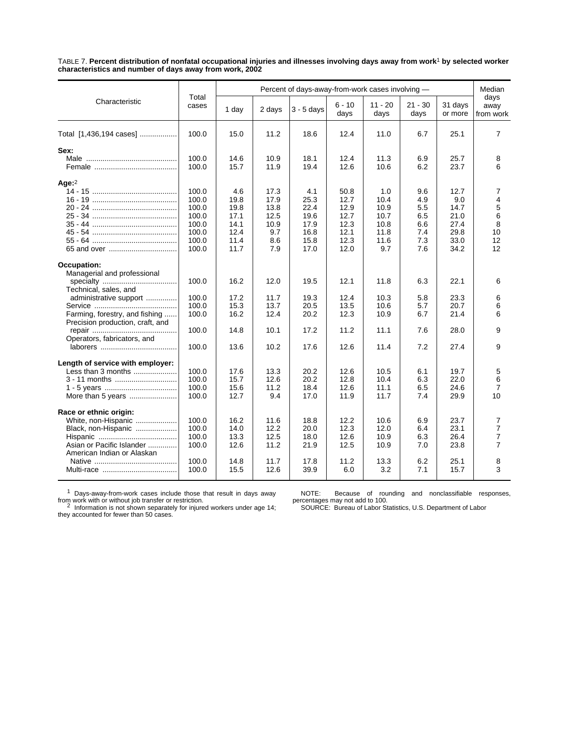TABLE 7. **Percent distribution of nonfatal occupational injuries and illnesses involving days away from work**1 **by selected worker characteristics and number of days away from work, 2002**

|                                                                                                                                                                                                           | Total<br>cases                                                       | Percent of days-away-from-work cases involving -            |                                                           |                                                             |                                                              |                                                            |                                                      |                                                             |                                                      |
|-----------------------------------------------------------------------------------------------------------------------------------------------------------------------------------------------------------|----------------------------------------------------------------------|-------------------------------------------------------------|-----------------------------------------------------------|-------------------------------------------------------------|--------------------------------------------------------------|------------------------------------------------------------|------------------------------------------------------|-------------------------------------------------------------|------------------------------------------------------|
| Characteristic                                                                                                                                                                                            |                                                                      | 1 day                                                       | 2 days                                                    | $3 - 5$ days                                                | $6 - 10$<br>days                                             | $11 - 20$<br>days                                          | $21 - 30$<br>days                                    | 31 days<br>or more                                          | days<br>away<br>from work                            |
| Total [1,436,194 cases]                                                                                                                                                                                   | 100.0                                                                | 15.0                                                        | 11.2                                                      | 18.6                                                        | 12.4                                                         | 11.0                                                       | 6.7                                                  | 25.1                                                        | $\overline{7}$                                       |
| Sex:                                                                                                                                                                                                      | 100.0<br>100.0                                                       | 14.6<br>15.7                                                | 10.9<br>11.9                                              | 18.1<br>19.4                                                | 12.4<br>12.6                                                 | 11.3<br>10.6                                               | 6.9<br>6.2                                           | 25.7<br>23.7                                                | 8<br>6                                               |
| Age: $2$                                                                                                                                                                                                  | 100.0<br>100.0<br>100.0<br>100.0<br>100.0<br>100.0<br>100.0<br>100.0 | 4.6<br>19.8<br>19.8<br>17.1<br>14.1<br>12.4<br>11.4<br>11.7 | 17.3<br>17.9<br>13.8<br>12.5<br>10.9<br>9.7<br>8.6<br>7.9 | 4.1<br>25.3<br>22.4<br>19.6<br>17.9<br>16.8<br>15.8<br>17.0 | 50.8<br>12.7<br>12.9<br>12.7<br>12.3<br>12.1<br>12.3<br>12.0 | 1.0<br>10.4<br>10.9<br>10.7<br>10.8<br>11.8<br>11.6<br>9.7 | 9.6<br>4.9<br>5.5<br>6.5<br>6.6<br>7.4<br>7.3<br>7.6 | 12.7<br>9.0<br>14.7<br>21.0<br>27.4<br>29.8<br>33.0<br>34.2 | 7<br>4<br>5<br>6<br>8<br>10<br>12<br>12              |
| <b>Occupation:</b><br>Managerial and professional<br>Technical, sales, and<br>administrative support<br>Farming, forestry, and fishing<br>Precision production, craft, and<br>Operators, fabricators, and | 100.0<br>100.0<br>100.0<br>100.0<br>100.0<br>100.0                   | 16.2<br>17.2<br>15.3<br>16.2<br>14.8<br>13.6                | 12.0<br>11.7<br>13.7<br>12.4<br>10.1<br>10.2              | 19.5<br>19.3<br>20.5<br>20.2<br>17.2<br>17.6                | 12.1<br>12.4<br>13.5<br>12.3<br>11.2<br>12.6                 | 11.8<br>10.3<br>10.6<br>10.9<br>11.1<br>11.4               | 6.3<br>5.8<br>5.7<br>6.7<br>7.6<br>7.2               | 22.1<br>23.3<br>20.7<br>21.4<br>28.0<br>27.4                | 6<br>6<br>6<br>6<br>9<br>9                           |
| Length of service with employer:<br>Less than 3 months<br>3 - 11 months<br>More than 5 years                                                                                                              | 100.0<br>100.0<br>100.0<br>100.0                                     | 17.6<br>15.7<br>15.6<br>12.7                                | 13.3<br>12.6<br>11.2<br>9.4                               | 20.2<br>20.2<br>18.4<br>17.0                                | 12.6<br>12.8<br>12.6<br>11.9                                 | 10.5<br>10.4<br>11.1<br>11.7                               | 6.1<br>6.3<br>6.5<br>7.4                             | 19.7<br>22.0<br>24.6<br>29.9                                | 5<br>6<br>$\overline{7}$<br>10                       |
| Race or ethnic origin:<br>White, non-Hispanic<br>Black, non-Hispanic<br>Asian or Pacific Islander<br>American Indian or Alaskan                                                                           | 100.0<br>100.0<br>100.0<br>100.0<br>100.0<br>100.0                   | 16.2<br>14.0<br>13.3<br>12.6<br>14.8<br>15.5                | 11.6<br>12.2<br>12.5<br>11.2<br>11.7<br>12.6              | 18.8<br>20.0<br>18.0<br>21.9<br>17.8<br>39.9                | 12.2<br>12.3<br>12.6<br>12.5<br>11.2<br>6.0                  | 10.6<br>12.0<br>10.9<br>10.9<br>13.3<br>3.2                | 6.9<br>6.4<br>6.3<br>7.0<br>6.2<br>7.1               | 23.7<br>23.1<br>26.4<br>23.8<br>25.1<br>15.7                | 7<br>7<br>$\overline{7}$<br>$\overline{7}$<br>8<br>3 |

 $1$  Days-away-from-work cases include those that result in days away

NOTE: Because of rounding and nonclassifiable responses, percentages may not add to 100.

from work with or without job transfer or restriction.<br><sup>2</sup> Information is not shown separately for injured workers under age 14;<br>they accounted for fewer than 50 cases.

SOURCE: Bureau of Labor Statistics, U.S. Department of Labor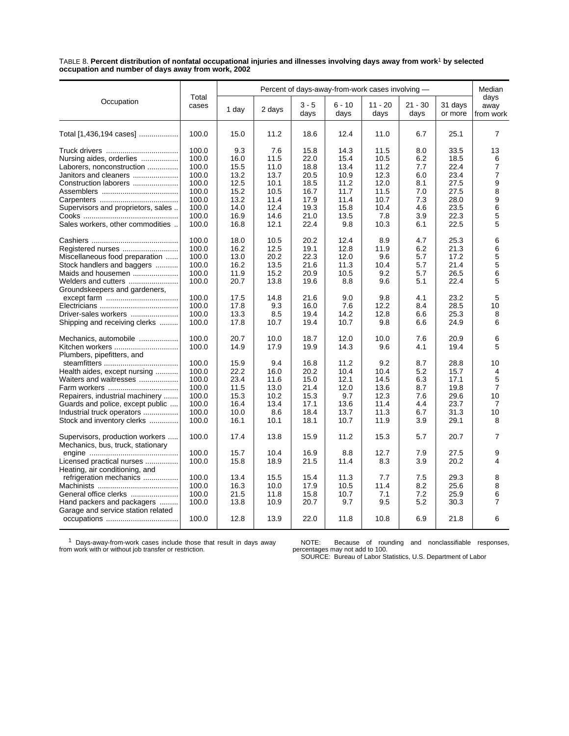TABLE 8. **Percent distribution of nonfatal occupational injuries and illnesses involving days away from work**1 **by selected occupation and number of days away from work, 2002**

| Total<br>Occupation<br>$3 - 5$<br>$6 - 10$<br>$11 - 20$<br>$21 - 30$<br>31 days<br>cases<br>1 day<br>2 days<br>days<br>days<br>days<br>days<br>or more<br>11.2<br>25.1<br>100.0<br>15.0<br>18.6<br>12.4<br>11.0<br>6.7<br>Total [1,436,194 cases]<br>100.0<br>9.3<br>7.6<br>15.8<br>14.3<br>11.5<br>8.0<br>33.5<br>100.0<br>16.0<br>11.5<br>22.0<br>15.4<br>10.5<br>6.2<br>18.5<br>Nursing aides, orderlies<br>100.0<br>15.5<br>11.0<br>18.8<br>13.4<br>22.4<br>Laborers, nonconstruction<br>11.2<br>7.7<br>100.0<br>13.2<br>13.7<br>20.5<br>10.9<br>12.3<br>6.0<br>23.4<br>Janitors and cleaners<br>100.0<br>12.5<br>10.1<br>18.5<br>11.2<br>12.0<br>8.1<br>27.5<br>Construction laborers<br>100.0<br>15.2<br>10.5<br>16.7<br>11.7<br>11.5<br>7.0<br>27.5<br>100.0<br>13.2<br>17.9<br>7.3<br>28.0<br>11.4<br>11.4<br>10.7<br>100.0<br>14.0<br>12.4<br>19.3<br>15.8<br>10.4<br>23.5<br>Supervisors and proprietors, sales<br>4.6<br>13.5<br>100.0<br>16.9<br>14.6<br>21.0<br>7.8<br>3.9<br>22.3<br>100.0<br>Sales workers, other commodities<br>16.8<br>12.1<br>22.4<br>9.8<br>10.3<br>6.1<br>22.5<br>100.0<br>18.0<br>12.4<br>8.9<br>25.3<br>10.5<br>20.2<br>4.7<br>16.2<br>12.5<br>12.8<br>21.3<br>100.0<br>19.1<br>11.9<br>6.2<br>Registered nurses | Median                    |
|--------------------------------------------------------------------------------------------------------------------------------------------------------------------------------------------------------------------------------------------------------------------------------------------------------------------------------------------------------------------------------------------------------------------------------------------------------------------------------------------------------------------------------------------------------------------------------------------------------------------------------------------------------------------------------------------------------------------------------------------------------------------------------------------------------------------------------------------------------------------------------------------------------------------------------------------------------------------------------------------------------------------------------------------------------------------------------------------------------------------------------------------------------------------------------------------------------------------------------------------------------|---------------------------|
|                                                                                                                                                                                                                                                                                                                                                                                                                                                                                                                                                                                                                                                                                                                                                                                                                                                                                                                                                                                                                                                                                                                                                                                                                                                        | days<br>away<br>from work |
|                                                                                                                                                                                                                                                                                                                                                                                                                                                                                                                                                                                                                                                                                                                                                                                                                                                                                                                                                                                                                                                                                                                                                                                                                                                        | 7                         |
|                                                                                                                                                                                                                                                                                                                                                                                                                                                                                                                                                                                                                                                                                                                                                                                                                                                                                                                                                                                                                                                                                                                                                                                                                                                        | 13                        |
|                                                                                                                                                                                                                                                                                                                                                                                                                                                                                                                                                                                                                                                                                                                                                                                                                                                                                                                                                                                                                                                                                                                                                                                                                                                        | 6                         |
|                                                                                                                                                                                                                                                                                                                                                                                                                                                                                                                                                                                                                                                                                                                                                                                                                                                                                                                                                                                                                                                                                                                                                                                                                                                        | $\overline{7}$            |
|                                                                                                                                                                                                                                                                                                                                                                                                                                                                                                                                                                                                                                                                                                                                                                                                                                                                                                                                                                                                                                                                                                                                                                                                                                                        | $\overline{7}$            |
|                                                                                                                                                                                                                                                                                                                                                                                                                                                                                                                                                                                                                                                                                                                                                                                                                                                                                                                                                                                                                                                                                                                                                                                                                                                        | 9                         |
|                                                                                                                                                                                                                                                                                                                                                                                                                                                                                                                                                                                                                                                                                                                                                                                                                                                                                                                                                                                                                                                                                                                                                                                                                                                        | 8                         |
|                                                                                                                                                                                                                                                                                                                                                                                                                                                                                                                                                                                                                                                                                                                                                                                                                                                                                                                                                                                                                                                                                                                                                                                                                                                        | 9                         |
|                                                                                                                                                                                                                                                                                                                                                                                                                                                                                                                                                                                                                                                                                                                                                                                                                                                                                                                                                                                                                                                                                                                                                                                                                                                        | 6                         |
|                                                                                                                                                                                                                                                                                                                                                                                                                                                                                                                                                                                                                                                                                                                                                                                                                                                                                                                                                                                                                                                                                                                                                                                                                                                        | 5                         |
|                                                                                                                                                                                                                                                                                                                                                                                                                                                                                                                                                                                                                                                                                                                                                                                                                                                                                                                                                                                                                                                                                                                                                                                                                                                        | 5                         |
|                                                                                                                                                                                                                                                                                                                                                                                                                                                                                                                                                                                                                                                                                                                                                                                                                                                                                                                                                                                                                                                                                                                                                                                                                                                        | 6                         |
|                                                                                                                                                                                                                                                                                                                                                                                                                                                                                                                                                                                                                                                                                                                                                                                                                                                                                                                                                                                                                                                                                                                                                                                                                                                        | 6                         |
| 100.0<br>Miscellaneous food preparation<br>13.0<br>20.2<br>22.3<br>12.0<br>9.6<br>5.7<br>17.2                                                                                                                                                                                                                                                                                                                                                                                                                                                                                                                                                                                                                                                                                                                                                                                                                                                                                                                                                                                                                                                                                                                                                          | 5                         |
| Stock handlers and baggers<br>100.0<br>16.2<br>13.5<br>21.6<br>11.3<br>10.4<br>5.7<br>21.4                                                                                                                                                                                                                                                                                                                                                                                                                                                                                                                                                                                                                                                                                                                                                                                                                                                                                                                                                                                                                                                                                                                                                             | 5                         |
| Maids and housemen<br>100.0<br>11.9<br>15.2<br>20.9<br>10.5<br>9.2<br>5.7<br>26.5                                                                                                                                                                                                                                                                                                                                                                                                                                                                                                                                                                                                                                                                                                                                                                                                                                                                                                                                                                                                                                                                                                                                                                      | 6                         |
| 100.0<br>Welders and cutters<br>20.7<br>13.8<br>19.6<br>8.8<br>9.6<br>5.1<br>22.4<br>Groundskeepers and gardeners,                                                                                                                                                                                                                                                                                                                                                                                                                                                                                                                                                                                                                                                                                                                                                                                                                                                                                                                                                                                                                                                                                                                                     | 5                         |
| 100.0<br>17.5<br>14.8<br>21.6<br>9.0<br>9.8<br>4.1<br>23.2                                                                                                                                                                                                                                                                                                                                                                                                                                                                                                                                                                                                                                                                                                                                                                                                                                                                                                                                                                                                                                                                                                                                                                                             | 5                         |
| 100.0<br>17.8<br>9.3<br>16.0<br>7.6<br>12.2<br>28.5<br>8.4                                                                                                                                                                                                                                                                                                                                                                                                                                                                                                                                                                                                                                                                                                                                                                                                                                                                                                                                                                                                                                                                                                                                                                                             | 10                        |
| 100.0<br>8.5<br>25.3<br>Driver-sales workers<br>13.3<br>19.4<br>14.2<br>12.8<br>6.6                                                                                                                                                                                                                                                                                                                                                                                                                                                                                                                                                                                                                                                                                                                                                                                                                                                                                                                                                                                                                                                                                                                                                                    | 8                         |
| 100.0<br>17.8<br>10.7<br>19.4<br>10.7<br>9.8<br>6.6<br>24.9<br>Shipping and receiving clerks                                                                                                                                                                                                                                                                                                                                                                                                                                                                                                                                                                                                                                                                                                                                                                                                                                                                                                                                                                                                                                                                                                                                                           | 6                         |
| 100.0<br>20.7<br>10.0<br>12.0<br>20.9<br>Mechanics, automobile<br>18.7<br>10.0<br>7.6                                                                                                                                                                                                                                                                                                                                                                                                                                                                                                                                                                                                                                                                                                                                                                                                                                                                                                                                                                                                                                                                                                                                                                  | 6                         |
| 14.9<br>17.9<br>19.9<br>14.3<br>19.4<br>Kitchen workers<br>100.0<br>9.6<br>4.1<br>Plumbers, pipefitters, and                                                                                                                                                                                                                                                                                                                                                                                                                                                                                                                                                                                                                                                                                                                                                                                                                                                                                                                                                                                                                                                                                                                                           | 5                         |
| 9.4<br>100.0<br>15.9<br>11.2<br>9.2<br>8.7<br>28.8<br>16.8                                                                                                                                                                                                                                                                                                                                                                                                                                                                                                                                                                                                                                                                                                                                                                                                                                                                                                                                                                                                                                                                                                                                                                                             | 10                        |
| 22.2<br>16.0<br>15.7<br>Health aides, except nursing<br>100.0<br>20.2<br>10.4<br>10.4<br>5.2                                                                                                                                                                                                                                                                                                                                                                                                                                                                                                                                                                                                                                                                                                                                                                                                                                                                                                                                                                                                                                                                                                                                                           | 4                         |
| 100.0<br>23.4<br>11.6<br>15.0<br>12.1<br>14.5<br>6.3<br>17.1<br>Waiters and waitresses                                                                                                                                                                                                                                                                                                                                                                                                                                                                                                                                                                                                                                                                                                                                                                                                                                                                                                                                                                                                                                                                                                                                                                 | 5                         |
| 11.5<br>100.0<br>13.0<br>21.4<br>12.0<br>13.6<br>8.7<br>19.8                                                                                                                                                                                                                                                                                                                                                                                                                                                                                                                                                                                                                                                                                                                                                                                                                                                                                                                                                                                                                                                                                                                                                                                           | 7                         |
| 100.0<br>15.3<br>10.2<br>15.3<br>9.7<br>12.3<br>7.6<br>29.6<br>Repairers, industrial machinery                                                                                                                                                                                                                                                                                                                                                                                                                                                                                                                                                                                                                                                                                                                                                                                                                                                                                                                                                                                                                                                                                                                                                         | 10                        |
| Guards and police, except public<br>100.0<br>16.4<br>13.4<br>17.1<br>13.6<br>11.4<br>4.4<br>23.7                                                                                                                                                                                                                                                                                                                                                                                                                                                                                                                                                                                                                                                                                                                                                                                                                                                                                                                                                                                                                                                                                                                                                       | $\overline{7}$            |
| Industrial truck operators<br>100.0<br>10.0<br>8.6<br>18.4<br>13.7<br>11.3<br>6.7<br>31.3                                                                                                                                                                                                                                                                                                                                                                                                                                                                                                                                                                                                                                                                                                                                                                                                                                                                                                                                                                                                                                                                                                                                                              | 10                        |
| 100.0<br>Stock and inventory clerks<br>16.1<br>10.1<br>18.1<br>10.7<br>11.9<br>3.9<br>29.1                                                                                                                                                                                                                                                                                                                                                                                                                                                                                                                                                                                                                                                                                                                                                                                                                                                                                                                                                                                                                                                                                                                                                             | 8                         |
| 100.0<br>17.4<br>13.8<br>15.9<br>11.2<br>15.3<br>5.7<br>20.7<br>Supervisors, production workers<br>Mechanics, bus, truck, stationary                                                                                                                                                                                                                                                                                                                                                                                                                                                                                                                                                                                                                                                                                                                                                                                                                                                                                                                                                                                                                                                                                                                   | 7                         |
| 100.0<br>15.7<br>10.4<br>16.9<br>8.8<br>12.7<br>7.9<br>27.5                                                                                                                                                                                                                                                                                                                                                                                                                                                                                                                                                                                                                                                                                                                                                                                                                                                                                                                                                                                                                                                                                                                                                                                            | 9                         |
| Licensed practical nurses<br>100.0<br>15.8<br>18.9<br>21.5<br>11.4<br>8.3<br>3.9<br>20.2                                                                                                                                                                                                                                                                                                                                                                                                                                                                                                                                                                                                                                                                                                                                                                                                                                                                                                                                                                                                                                                                                                                                                               | 4                         |
| Heating, air conditioning, and                                                                                                                                                                                                                                                                                                                                                                                                                                                                                                                                                                                                                                                                                                                                                                                                                                                                                                                                                                                                                                                                                                                                                                                                                         |                           |
| refrigeration mechanics<br>100.0<br>13.4<br>15.5<br>15.4<br>7.7<br>7.5<br>29.3<br>11.3                                                                                                                                                                                                                                                                                                                                                                                                                                                                                                                                                                                                                                                                                                                                                                                                                                                                                                                                                                                                                                                                                                                                                                 | 8                         |
| 100.0<br>16.3<br>10.0<br>17.9<br>25.6<br>10.5<br>11.4<br>8.2                                                                                                                                                                                                                                                                                                                                                                                                                                                                                                                                                                                                                                                                                                                                                                                                                                                                                                                                                                                                                                                                                                                                                                                           | 8                         |
| 100.0<br>General office clerks<br>21.5<br>11.8<br>15.8<br>10.7<br>7.1<br>7.2<br>25.9                                                                                                                                                                                                                                                                                                                                                                                                                                                                                                                                                                                                                                                                                                                                                                                                                                                                                                                                                                                                                                                                                                                                                                   | 6                         |
| 100.0<br>9.7<br>9.5<br>5.2<br>Hand packers and packagers<br>13.8<br>10.9<br>20.7<br>30.3                                                                                                                                                                                                                                                                                                                                                                                                                                                                                                                                                                                                                                                                                                                                                                                                                                                                                                                                                                                                                                                                                                                                                               | 7                         |
| Garage and service station related                                                                                                                                                                                                                                                                                                                                                                                                                                                                                                                                                                                                                                                                                                                                                                                                                                                                                                                                                                                                                                                                                                                                                                                                                     |                           |
| 12.8<br>22.0<br>6.9<br>100.0<br>13.9<br>11.8<br>10.8<br>21.8                                                                                                                                                                                                                                                                                                                                                                                                                                                                                                                                                                                                                                                                                                                                                                                                                                                                                                                                                                                                                                                                                                                                                                                           | 6                         |

1 Days-away-from-work cases include those that result in days away from work with or without job transfer or restriction.

NOTE: Because of rounding and nonclassifiable responses, percentages may not add to 100. SOURCE: Bureau of Labor Statistics, U.S. Department of Labor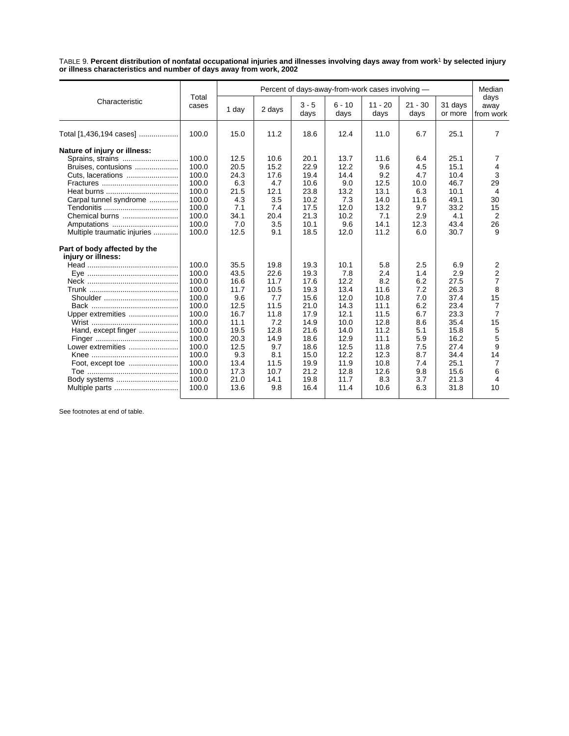TABLE 9. **Percent distribution of nonfatal occupational injuries and illnesses involving days away from work**1 **by selected injury or illness characteristics and number of days away from work, 2002**

|                                                                                                                                                                         | Total<br>cases                                                                                                             | Percent of days-away-from-work cases involving -                                                           |                                                                                                          |                                                                                                              |                                                                                                             |                                                                                                           |                                                                                                |                                                                                                            |                                                                                                              |
|-------------------------------------------------------------------------------------------------------------------------------------------------------------------------|----------------------------------------------------------------------------------------------------------------------------|------------------------------------------------------------------------------------------------------------|----------------------------------------------------------------------------------------------------------|--------------------------------------------------------------------------------------------------------------|-------------------------------------------------------------------------------------------------------------|-----------------------------------------------------------------------------------------------------------|------------------------------------------------------------------------------------------------|------------------------------------------------------------------------------------------------------------|--------------------------------------------------------------------------------------------------------------|
| Characteristic                                                                                                                                                          |                                                                                                                            | 1 day                                                                                                      | 2 days                                                                                                   | $3 - 5$<br>days                                                                                              | $6 - 10$<br>days                                                                                            | $11 - 20$<br>days                                                                                         | $21 - 30$<br>days                                                                              | 31 days<br>or more                                                                                         | days<br>away<br>from work                                                                                    |
| Total [1,436,194 cases]                                                                                                                                                 | 100.0                                                                                                                      | 15.0                                                                                                       | 11.2                                                                                                     | 18.6                                                                                                         | 12.4                                                                                                        | 11.0                                                                                                      | 6.7                                                                                            | 25.1                                                                                                       | 7                                                                                                            |
| Nature of injury or illness:<br>Sprains, strains<br>Bruises, contusions<br>Cuts, lacerations<br>Carpal tunnel syndrome<br>Chemical burns<br>Multiple traumatic injuries | 100.0<br>100.0<br>100.0<br>100.0<br>100.0<br>100.0<br>100.0<br>100.0<br>100.0<br>100.0                                     | 12.5<br>20.5<br>24.3<br>6.3<br>21.5<br>4.3<br>7.1<br>34.1<br>7.0<br>12.5                                   | 10.6<br>15.2<br>17.6<br>4.7<br>12.1<br>3.5<br>7.4<br>20.4<br>3.5<br>9.1                                  | 20.1<br>22.9<br>19.4<br>10.6<br>23.8<br>10.2<br>17.5<br>21.3<br>10.1<br>18.5                                 | 13.7<br>12.2<br>14.4<br>9.0<br>13.2<br>7.3<br>12.0<br>10.2<br>9.6<br>12.0                                   | 11.6<br>9.6<br>9.2<br>12.5<br>13.1<br>14.0<br>13.2<br>7.1<br>14.1<br>11.2                                 | 6.4<br>4.5<br>4.7<br>10.0<br>6.3<br>11.6<br>9.7<br>2.9<br>12.3<br>6.0                          | 25.1<br>15.1<br>10.4<br>46.7<br>10.1<br>49.1<br>33.2<br>4.1<br>43.4<br>30.7                                | 7<br>4<br>3<br>29<br>4<br>30<br>15<br>2<br>26<br>9                                                           |
| Part of body affected by the<br>injury or illness:<br>Upper extremities<br>Hand, except finger<br>Lower extremities                                                     | 100.0<br>100.0<br>100.0<br>100.0<br>100.0<br>100.0<br>100.0<br>100.0<br>100.0<br>100.0<br>100.0<br>100.0<br>100.0<br>100.0 | 35.5<br>43.5<br>16.6<br>11.7<br>9.6<br>12.5<br>16.7<br>11.1<br>19.5<br>20.3<br>12.5<br>9.3<br>13.4<br>17.3 | 19.8<br>22.6<br>11.7<br>10.5<br>7.7<br>11.5<br>11.8<br>7.2<br>12.8<br>14.9<br>9.7<br>8.1<br>11.5<br>10.7 | 19.3<br>19.3<br>17.6<br>19.3<br>15.6<br>21.0<br>17.9<br>14.9<br>21.6<br>18.6<br>18.6<br>15.0<br>19.9<br>21.2 | 10.1<br>7.8<br>12.2<br>13.4<br>12.0<br>14.3<br>12.1<br>10.0<br>14.0<br>12.9<br>12.5<br>12.2<br>11.9<br>12.8 | 5.8<br>2.4<br>8.2<br>11.6<br>10.8<br>11.1<br>11.5<br>12.8<br>11.2<br>11.1<br>11.8<br>12.3<br>10.8<br>12.6 | 2.5<br>1.4<br>6.2<br>7.2<br>7.0<br>6.2<br>6.7<br>8.6<br>5.1<br>5.9<br>7.5<br>8.7<br>7.4<br>9.8 | 6.9<br>2.9<br>27.5<br>26.3<br>37.4<br>23.4<br>23.3<br>35.4<br>15.8<br>16.2<br>27.4<br>34.4<br>25.1<br>15.6 | 2<br>2<br>$\overline{7}$<br>8<br>15<br>$\overline{7}$<br>$\overline{7}$<br>15<br>5<br>5<br>9<br>14<br>7<br>6 |
| Body systems<br>Multiple parts                                                                                                                                          | 100.0<br>100.0                                                                                                             | 21.0<br>13.6                                                                                               | 14.1<br>9.8                                                                                              | 19.8<br>16.4                                                                                                 | 11.7<br>11.4                                                                                                | 8.3<br>10.6                                                                                               | 3.7<br>6.3                                                                                     | 21.3<br>31.8                                                                                               | 4<br>10                                                                                                      |

See footnotes at end of table.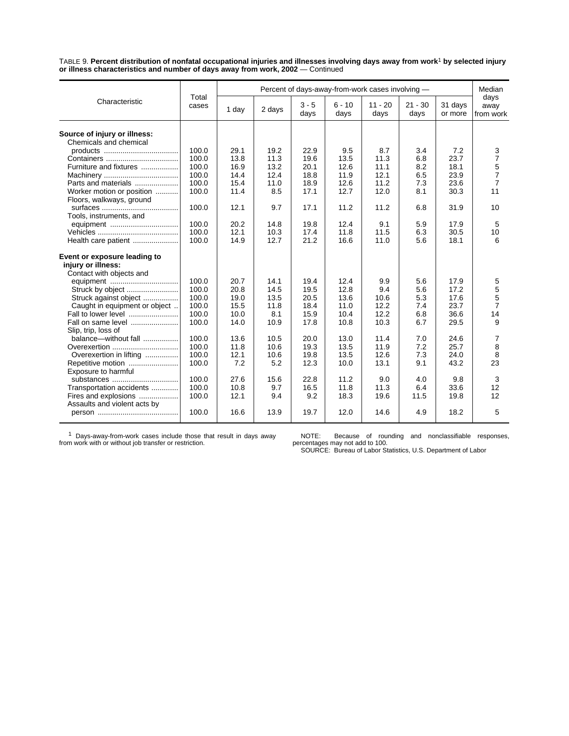TABLE 9. **Percent distribution of nonfatal occupational injuries and illnesses involving days away from work**1 **by selected injury or illness characteristics and number of days away from work, 2002** — Continued

|                               | Total<br>cases | Percent of days-away-from-work cases involving - |        |                 |                  |                   |                   |                    |                           |
|-------------------------------|----------------|--------------------------------------------------|--------|-----------------|------------------|-------------------|-------------------|--------------------|---------------------------|
| Characteristic                |                | 1 day                                            | 2 days | $3 - 5$<br>days | $6 - 10$<br>days | $11 - 20$<br>days | $21 - 30$<br>days | 31 days<br>or more | days<br>away<br>from work |
| Source of injury or illness:  |                |                                                  |        |                 |                  |                   |                   |                    |                           |
| Chemicals and chemical        |                |                                                  |        |                 |                  |                   |                   |                    |                           |
|                               | 100.0          | 29.1                                             | 19.2   | 22.9            | 9.5              | 8.7               | 3.4               | 7.2                | 3                         |
|                               | 100.0          | 13.8                                             | 11.3   | 19.6            | 13.5             | 11.3              | 6.8               | 23.7               | $\overline{7}$            |
|                               | 100.0          | 16.9                                             | 13.2   | 20.1            | 12.6             | 11.1              |                   | 18.1               |                           |
| Furniture and fixtures        |                |                                                  | 12.4   |                 |                  |                   | 8.2               |                    | 5<br>$\overline{7}$       |
|                               | 100.0          | 14.4                                             |        | 18.8            | 11.9             | 12.1              | 6.5               | 23.9               |                           |
| Parts and materials           | 100.0          | 15.4                                             | 11.0   | 18.9            | 12.6             | 11.2              | 7.3               | 23.6               | $\overline{7}$            |
| Worker motion or position     | 100.0          | 11.4                                             | 8.5    | 17.1            | 12.7             | 12.0              | 8.1               | 30.3               | 11                        |
| Floors, walkways, ground      |                |                                                  |        |                 |                  |                   |                   |                    |                           |
|                               | 100.0          | 12.1                                             | 9.7    | 17.1            | 11.2             | 11.2              | 6.8               | 31.9               | 10                        |
| Tools, instruments, and       |                |                                                  |        |                 |                  |                   |                   |                    |                           |
|                               | 100.0          | 20.2                                             | 14.8   | 19.8            | 12.4             | 9.1               | 5.9               | 17.9               | 5                         |
|                               | 100.0          | 12.1                                             | 10.3   | 17.4            | 11.8             | 11.5              | 6.3               | 30.5               | 10                        |
| Health care patient           | 100.0          | 14.9                                             | 12.7   | 21.2            | 16.6             | 11.0              | 5.6               | 18.1               | 6                         |
| Event or exposure leading to  |                |                                                  |        |                 |                  |                   |                   |                    |                           |
| injury or illness:            |                |                                                  |        |                 |                  |                   |                   |                    |                           |
| Contact with objects and      |                |                                                  |        |                 |                  |                   |                   |                    |                           |
|                               | 100.0          | 20.7                                             | 14.1   | 19.4            | 12.4             | 9.9               | 5.6               | 17.9               | 5                         |
|                               | 100.0          | 20.8                                             | 14.5   | 19.5            | 12.8             | 9.4               | 5.6               | 17.2               | 5                         |
| Struck against object         | 100.0          | 19.0                                             | 13.5   | 20.5            | 13.6             | 10.6              | 5.3               | 17.6               | 5                         |
| Caught in equipment or object | 100.0          | 15.5                                             | 11.8   | 18.4            | 11.0             | 12.2              | 7.4               | 23.7               | $\overline{7}$            |
| Fall to lower level           | 100.0          | 10.0                                             |        | 15.9            | 10.4             | 12.2              |                   | 36.6               | 14                        |
|                               |                |                                                  | 8.1    |                 |                  |                   | 6.8               |                    |                           |
| Fall on same level            | 100.0          | 14.0                                             | 10.9   | 17.8            | 10.8             | 10.3              | 6.7               | 29.5               | 9                         |
| Slip, trip, loss of           |                |                                                  |        |                 |                  |                   |                   |                    |                           |
| balance-without fall          | 100.0          | 13.6                                             | 10.5   | 20.0            | 13.0             | 11.4              | 7.0               | 24.6               | 7                         |
|                               | 100.0          | 11.8                                             | 10.6   | 19.3            | 13.5             | 11.9              | 7.2               | 25.7               | 8                         |
| Overexertion in lifting       | 100.0          | 12.1                                             | 10.6   | 19.8            | 13.5             | 12.6              | 7.3               | 24.0               | 8                         |
| Repetitive motion             | 100.0          | 7.2                                              | 5.2    | 12.3            | 10.0             | 13.1              | 9.1               | 43.2               | 23                        |
| Exposure to harmful           |                |                                                  |        |                 |                  |                   |                   |                    |                           |
| substances                    | 100.0          | 27.6                                             | 15.6   | 22.8            | 11.2             | 9.0               | 4.0               | 9.8                | 3                         |
| Transportation accidents      | 100.0          | 10.8                                             | 9.7    | 16.5            | 11.8             | 11.3              | 6.4               | 33.6               | 12                        |
| Fires and explosions          | 100.0          | 12.1                                             | 9.4    | 9.2             | 18.3             | 19.6              | 11.5              | 19.8               | 12                        |
| Assaults and violent acts by  |                |                                                  |        |                 |                  |                   |                   |                    |                           |
|                               | 100.0          | 16.6                                             | 13.9   | 19.7            | 12.0             | 14.6              | 4.9               | 18.2               | 5                         |

1 Days-away-from-work cases include those that result in days away from work with or without job transfer or restriction.

NOTE: Because of rounding and nonclassifiable responses, percentages may not add to 100. SOURCE: Bureau of Labor Statistics, U.S. Department of Labor